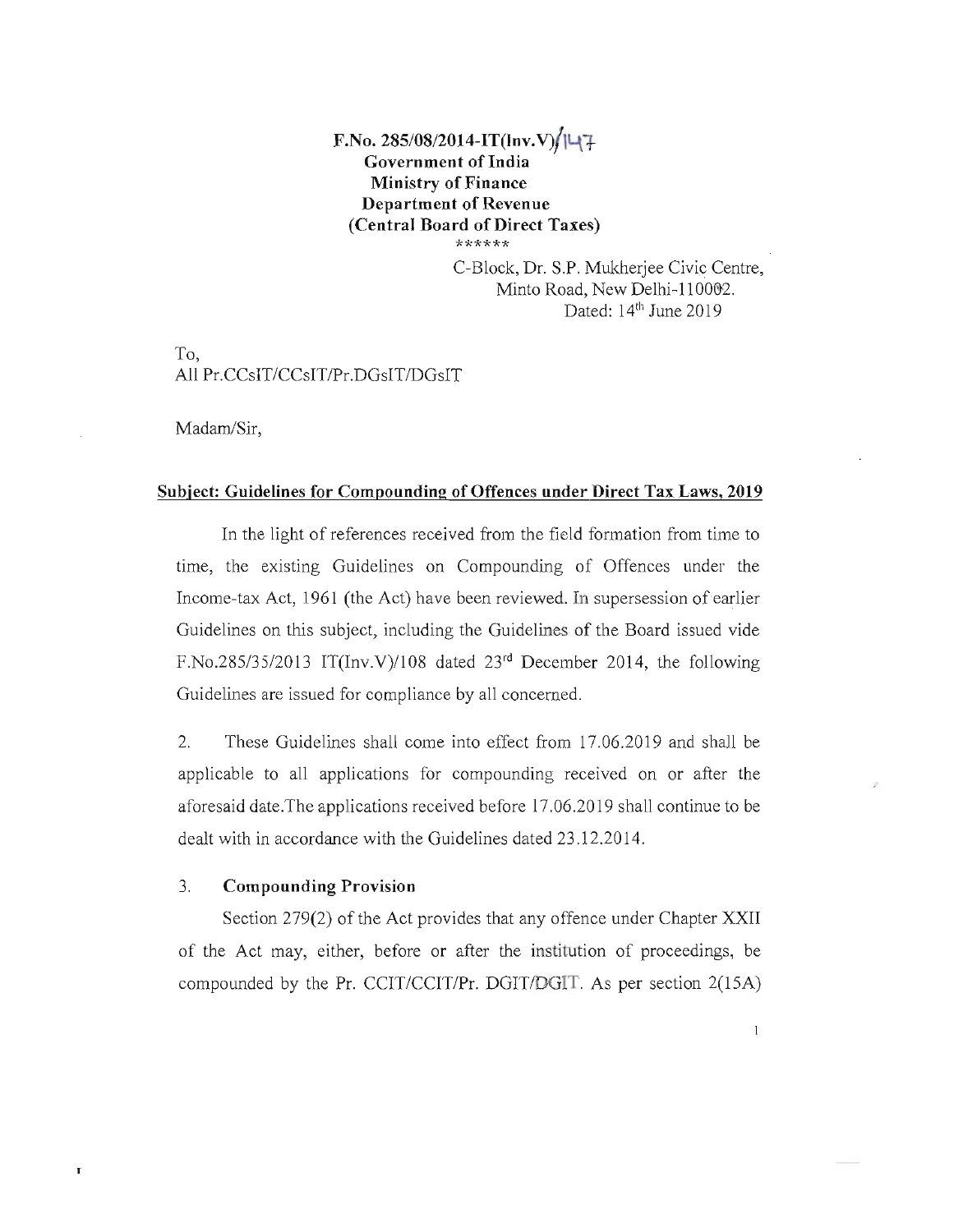# **F.No. 285/08/2014-IT(Inv.V)/ILI7 Government of India Ministry of Finance Department of Revenue (Central Board of Direct Taxes) \*\*\*\*\*\***

C-Block, Dr. S.P. Mukherjee Civic Centre, Minto Road, New Delhi-110002. Dated:  $14<sup>th</sup>$  June 2019

 $\mathbf{l}$ 

To, All Pr.CCsIT/CCsIT/Pr.DGsIT/DGsIT

Madam/Sir,

#### **Subject: Guidelines for Compounding of Offences under Direct Tax Laws, 2019**

**In** the light of references received from the field formation from time to time, the existing Guidelines on Compounding of Offences under the Income-tax Act, 1961 (the Act) have been reviewed. **In** supersession of earlier Guidelines on this subject, including the Guidelines of the Board issued vide F.No.285/35/2013 IT(Inv.V)/108 dated  $23<sup>rd</sup>$  December 2014, the following Guidelines are issued for compliance by all concerned.

2. These Guidelines shall come into effect from 17.06.2019 and shall be applicable to all applications for compounding received on or after the aforesaid date. The applications received before 17.06.2019 shall continue to be dealt with in accordance with the Guidelines dated 23.1 2.2014.

### 3. **Compounding Provision**

 $\mathbf{r}$ 

Section 279(2) of the Act provides that any offence under Chapter XXII of the Act may, either, before or after the institution of proceedings, be compounded by the Pr. CCIT/CCIT/Pr. DGIT/DGIT. As per section 2(15A)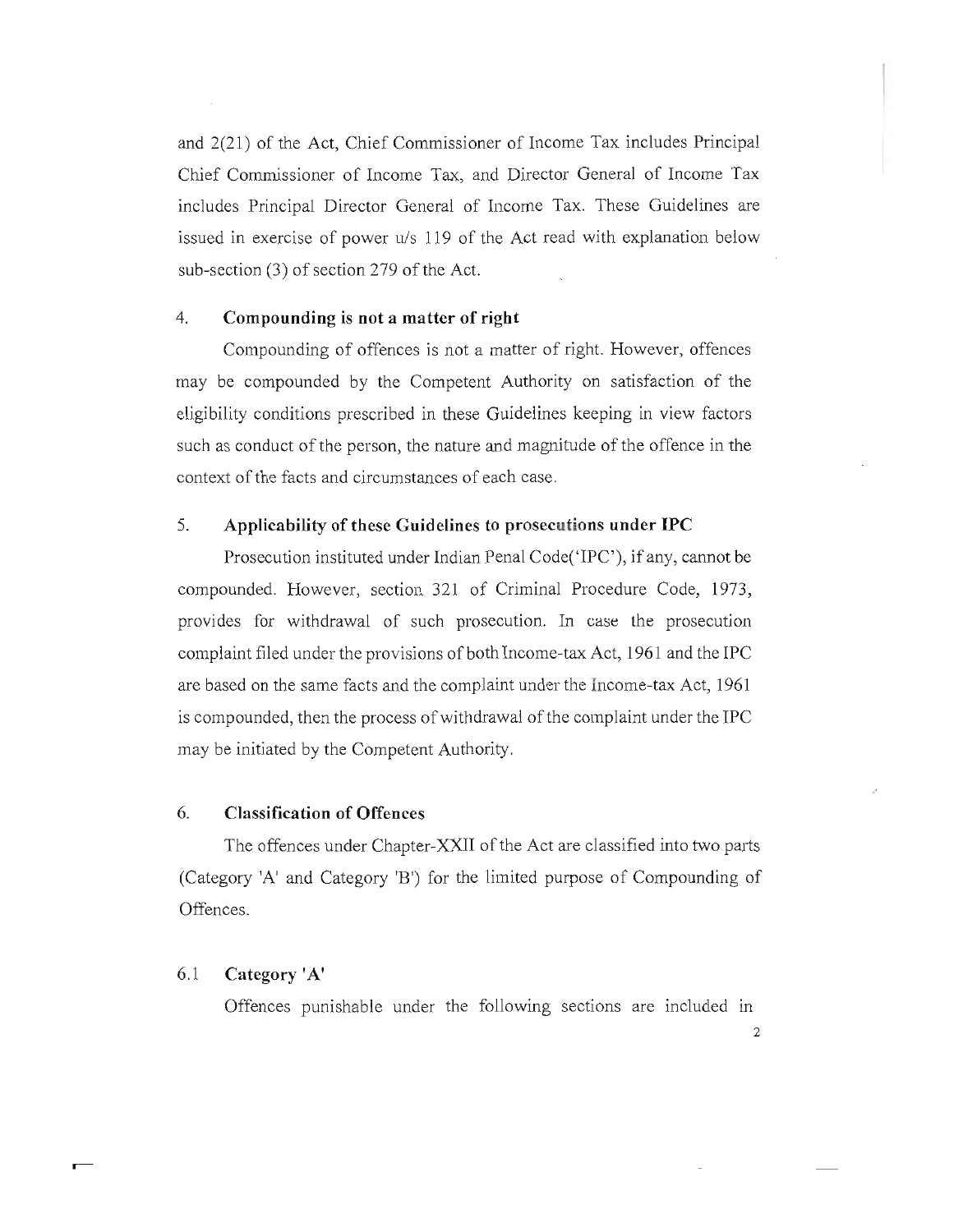and 2(21) of the Act, Chief Commissioner of Income Tax includes Principal Chief Commissioner of Income Tax, and Director General of Income Tax includes Principal Director General of Income Tax. These Guidelines are issued in exercise of power u/s 119 of the Act read with explanation below sub-section (3) of section 279 of the Act.

### 4. **Compounding is not a matter of right**

Compounding of offences is not a matter of right. However, offences may be compounded by the Competent Authority on satisfaction of the eligibility conditions prescribed in these Guidelines keeping in view factors such as conduct of the person, the nature and magnitude of the offence in the context of the facts and circumstances of each case.

### 5. **Applicability of these Guidelines to prosecutions under IPC**

Prosecution instituted under Indian Penal Code('IPC'), if any, cannot be compounded. However, section 321 of Criminal Procedure Code, 1973, provides for withdrawal of such prosecution. In case the prosecution complaint filed under the provisions of both Income-tax Act, 1961 and the **IPC**  are based on the same facts and the complaint under the Income-tax Act, 1961 is compounded, then the process of withdrawal of the complaint under the **IPC**  may be initiated by the Competent Authority.

### 6. **Classification of Offences**

The offences under Chapter-XXII of the Act are classified into two parts (Category 'A' and Category 'B') for the limited purpose of Compounding of Offences.

### 6.1 **Category** fA'

Offences punishable under the following sections are included m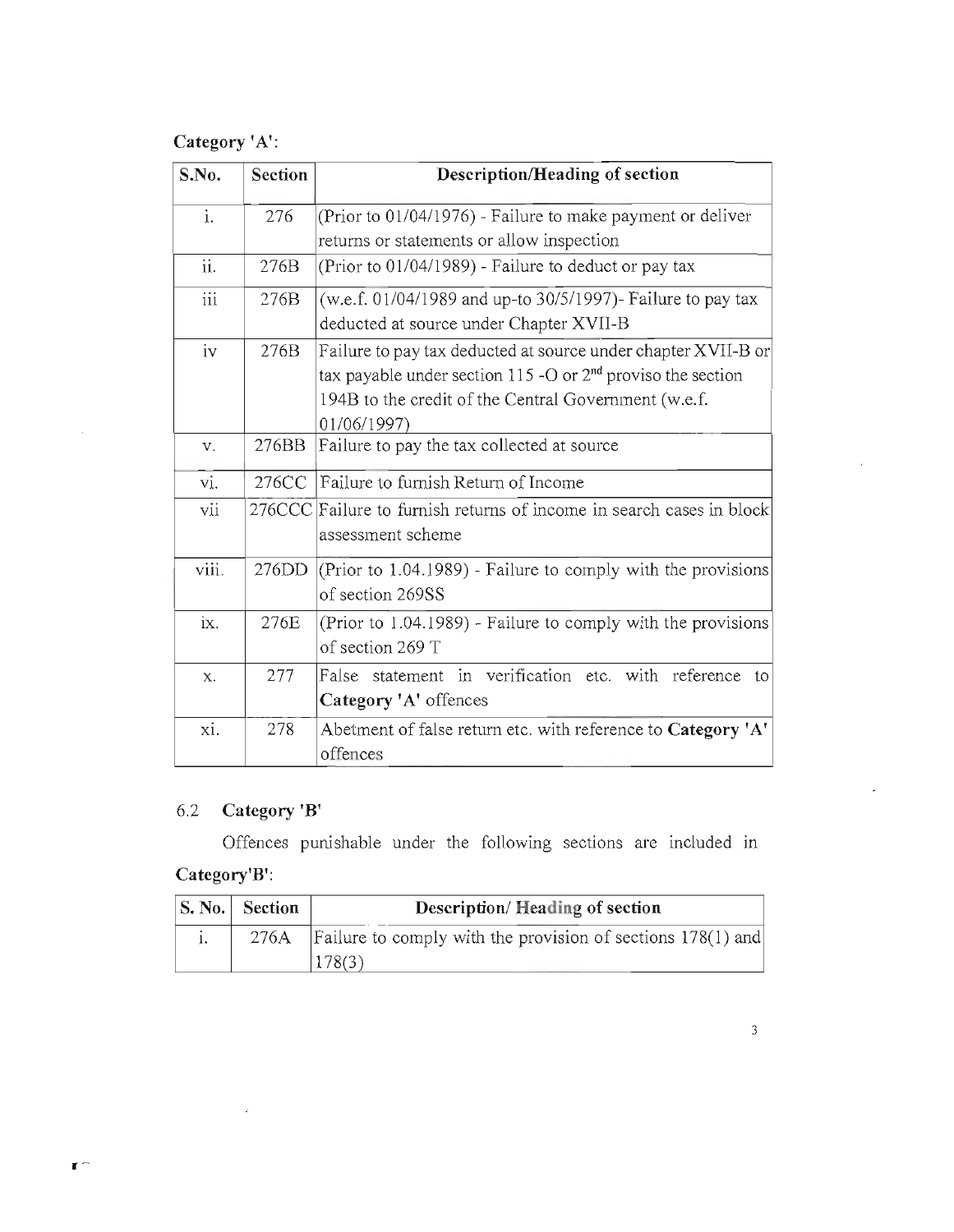# **Category** *'A':*

| S.No.            | Section       | <b>Description/Heading of section</b>                                                                                                                                                                 |  |
|------------------|---------------|-------------------------------------------------------------------------------------------------------------------------------------------------------------------------------------------------------|--|
| $\mathbf{i}$ .   | 276           | (Prior to 01/04/1976) - Failure to make payment or deliver<br>returns or statements or allow inspection                                                                                               |  |
| ii.              | 276B          | (Prior to $01/04/1989$ ) - Failure to deduct or pay tax                                                                                                                                               |  |
| $\overline{iii}$ | 276B          | (w.e.f. 01/04/1989 and up-to 30/5/1997)- Failure to pay tax<br>deducted at source under Chapter XVII-B                                                                                                |  |
| iv               | 276B          | Failure to pay tax deducted at source under chapter XVII-B or<br>tax payable under section 115 -O or $2nd$ proviso the section<br>194B to the credit of the Central Government (w.e.f.<br>01/06/1997) |  |
| V.               | 276BB         | Failure to pay the tax collected at source                                                                                                                                                            |  |
| vi.              | 276CC         | Failure to furnish Return of Income                                                                                                                                                                   |  |
| vii              | <b>276CCC</b> | Failure to furnish returns of income in search cases in block<br>assessment scheme                                                                                                                    |  |
| viii.            | 276DD         | (Prior to 1.04.1989) - Failure to comply with the provisions<br>of section 269SS                                                                                                                      |  |
| ix.              | 276E          | (Prior to 1.04.1989) - Failure to comply with the provisions<br>of section 269 T                                                                                                                      |  |
| X.               | 277           | False statement in verification etc. with reference to<br>Category 'A' offences                                                                                                                       |  |
| xi.              | 278           | Abetment of false return etc. with reference to Category 'A'<br>offences                                                                                                                              |  |

# 6.2 **Category 'B'**

 $\mathbb{R}^2$ 

**1 -**

Offences punishable under the following sections are included in **Category'B':** 

| $ S. No. $ Section | Description/Heading of section                                       |
|--------------------|----------------------------------------------------------------------|
|                    | 276A   Failure to comply with the provision of sections $178(1)$ and |
|                    | 178(3)                                                               |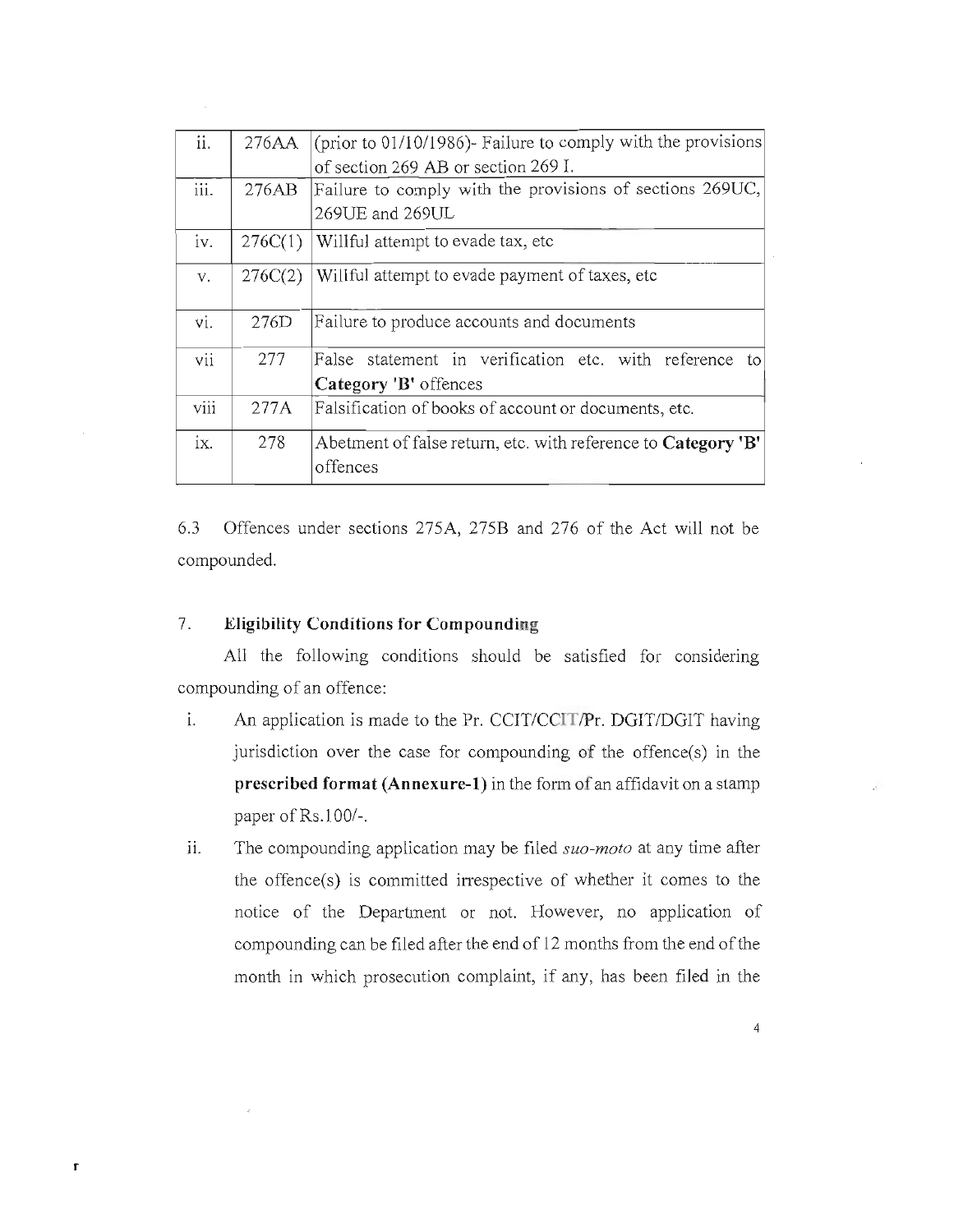| ii.               | 276AA   | (prior to $01/10/1986$ ). Failure to comply with the provisions |  |  |
|-------------------|---------|-----------------------------------------------------------------|--|--|
|                   |         | of section 269 AB or section 269 I.                             |  |  |
| iii.              | 276AB   | Failure to comply with the provisions of sections 269UC,        |  |  |
|                   |         | 269UE and 269UL                                                 |  |  |
| iv.               | 276C(1) | Willful attempt to evade tax, etc.                              |  |  |
| V.                | 276C(2) | Willful attempt to evade payment of taxes, etc.                 |  |  |
| vi.               | 276D    | Failure to produce accounts and documents                       |  |  |
| vii               | 277     | False statement in verification etc. with reference to          |  |  |
|                   |         | Category 'B' offences                                           |  |  |
| viii              | 277A    | Falsification of books of account or documents, etc.            |  |  |
| $\overline{1}X$ . | 278     | Abetment of false return, etc. with reference to Category 'B'   |  |  |
|                   |         | offences                                                        |  |  |
|                   |         |                                                                 |  |  |

6.3 Offences under sections 275A, 275B and 276 of the Act will not be compounded.

## 7. **Eligibility Conditions for Compounding**

r

All the following conditions should be satisfied for considering compounding of an offence:

- i. An application is made to the Pr. CCIT/CCIT/Pr. DGIT/DGIT having jurisdiction over the case for compounding of the offence(s) in the **prescribed format (Annexure-I)** in the form of an affidavit on a stamp paper of Rs.lOO/-.
- ii. The compounding application may be filed *suo-moto* at any time after the offence(s) is committed irrespective of whether it comes to the notice of the Department or not. However, no application of compounding can be filed after the end of 12 months from the end of the month in which prosecution complaint, if any, has been filed in the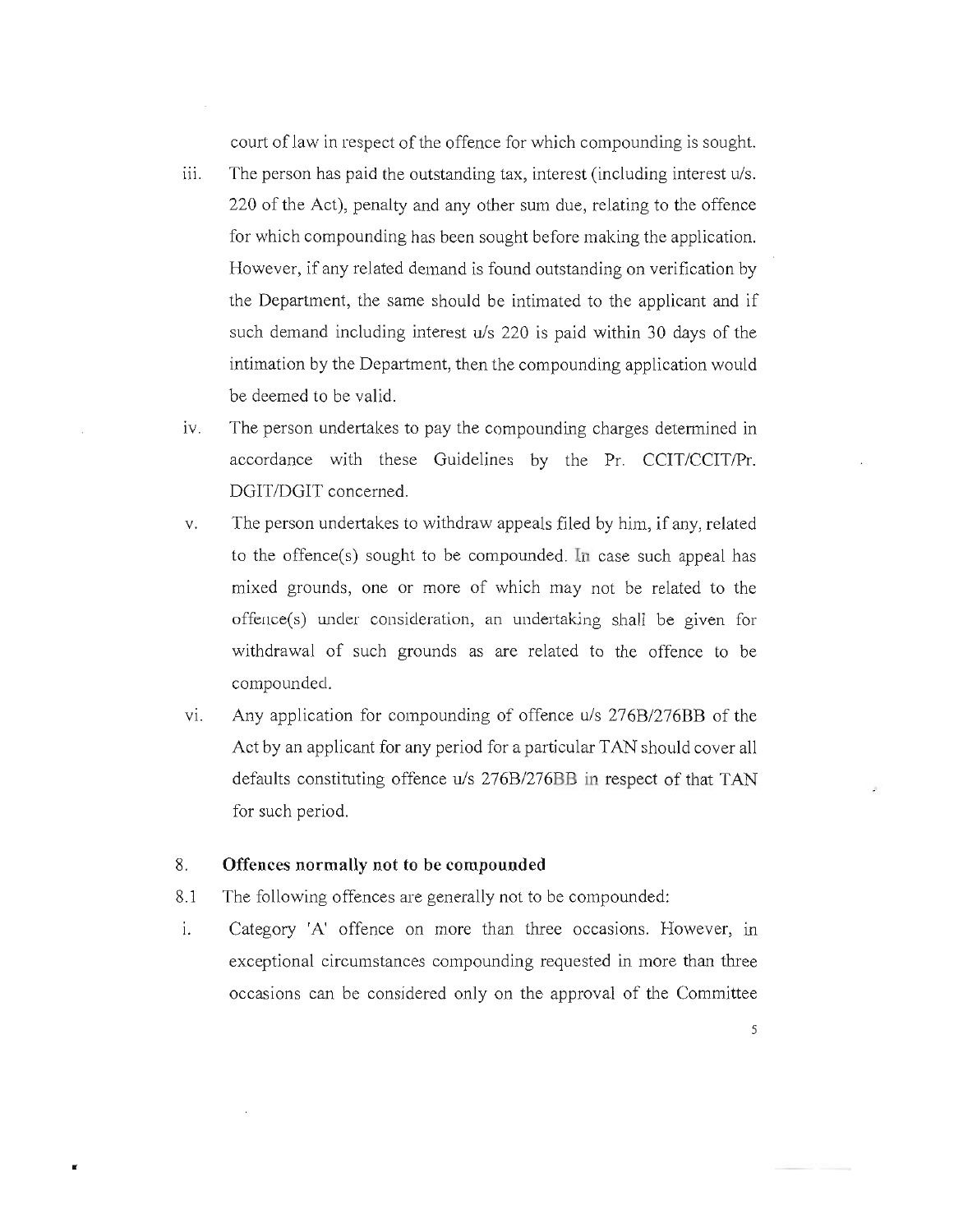court of law in respect of the offence for which compounding is sought.

- iii. The person has paid the outstanding tax, interest (including interest *u/s.* 220 of the Act), penalty and any other sum due, relating to the offence for which compounding has been sought before making the application. However, if any related demand is found outstanding on verification by the Department, the same should be intimated to the applicant and if such demand including interest *uls* 220 is paid within 30 days of the intimation by the Department, then the compounding application would be deemed to be valid.
- iv. The person undertakes to pay the compounding charges determined in accordance with these Guidelines by the Pr. CCIT/CCIT/Pr. DGIT/DGIT concerned.
- v. The person undertakes to withdraw appeals filed by him, if any, related to the offence(s) sought to be compounded. In case such appeal has mixed grounds, one or more of which may not be related to the offence(s) under consideration, an undertaking shall be given for withdrawal of such grounds as are related to the offence to be compounded.
- Vi. Any application for compounding of offence *uls 276B/276BB* of the Act by an applicant for any period for a particular TAN should cover all defaults constituting offence *uls 276B/276BB* in respect of that TAN for such period.

### 8. **Offences normally not to be compounded**

 $\blacksquare$ 

- 8.1 The following offences are generally not to be compounded:
- i. Category 'A' offence on more than three occasions. However, in exceptional circumstances compounding requested in more than three occasions can be considered only on the approval of the Committee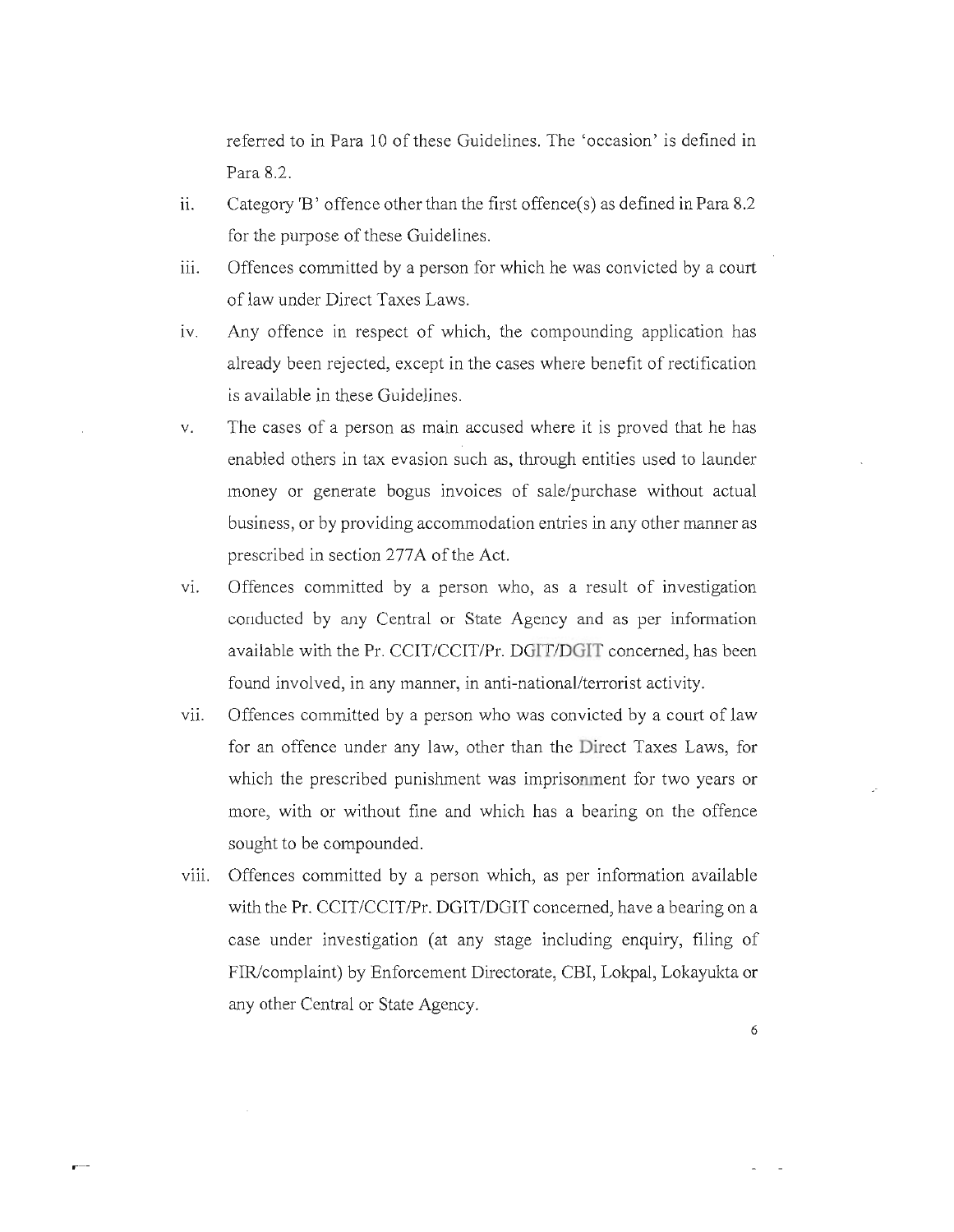referred to in Para 10 of these Guidelines. The 'occasion' is defined in Para 8.2.

- ii. Category 'B' offence other than the first offence(s) as defined in Para 8.2 for the purpose of these Guidelines.
- iii. Offences committed by a person for which he was convicted by a court of law under Direct Taxes Laws.
- iv. Any offence in respect of which, the compounding application has already been rejected, except in the cases where benefit of rectification is available in these Guidelines.
- v. The cases of a person as main accused where it is proved that he has enabled others in tax evasion such as, through entities used to launder money or generate bogus invoices of sale/purchase without actual business, or by providing accommodation entries in any other manner as prescribed in section 277A of the Act.
- vi. Offences committed by a person who, as a result of investigation conducted by any Central or State Agency and as per information available with the Pr. CCIT/CCIT/Pr. DGIT/DGIT concerned, has been found involved, in any manner, in anti-national/terrorist activity.
- vii. Offences committed by a person who was convicted by a court of law for an offence under any law, other than the Direct Taxes Laws, for which the prescribed punishment was imprisonment for two years or more, with or without fine and which has a bearing on the offence sought to be compounded.
- viii. Offences committed by a person which, as per information available with the Pr. CCIT/CCIT/Pr. DGIT/DGIT concerned, have a bearing on a case under investigation (at any stage including enquiry, filing of FIR/complaint) by Enforcement Directorate, CBI, Lokpal, Lokayukta or any other Central or State Agency.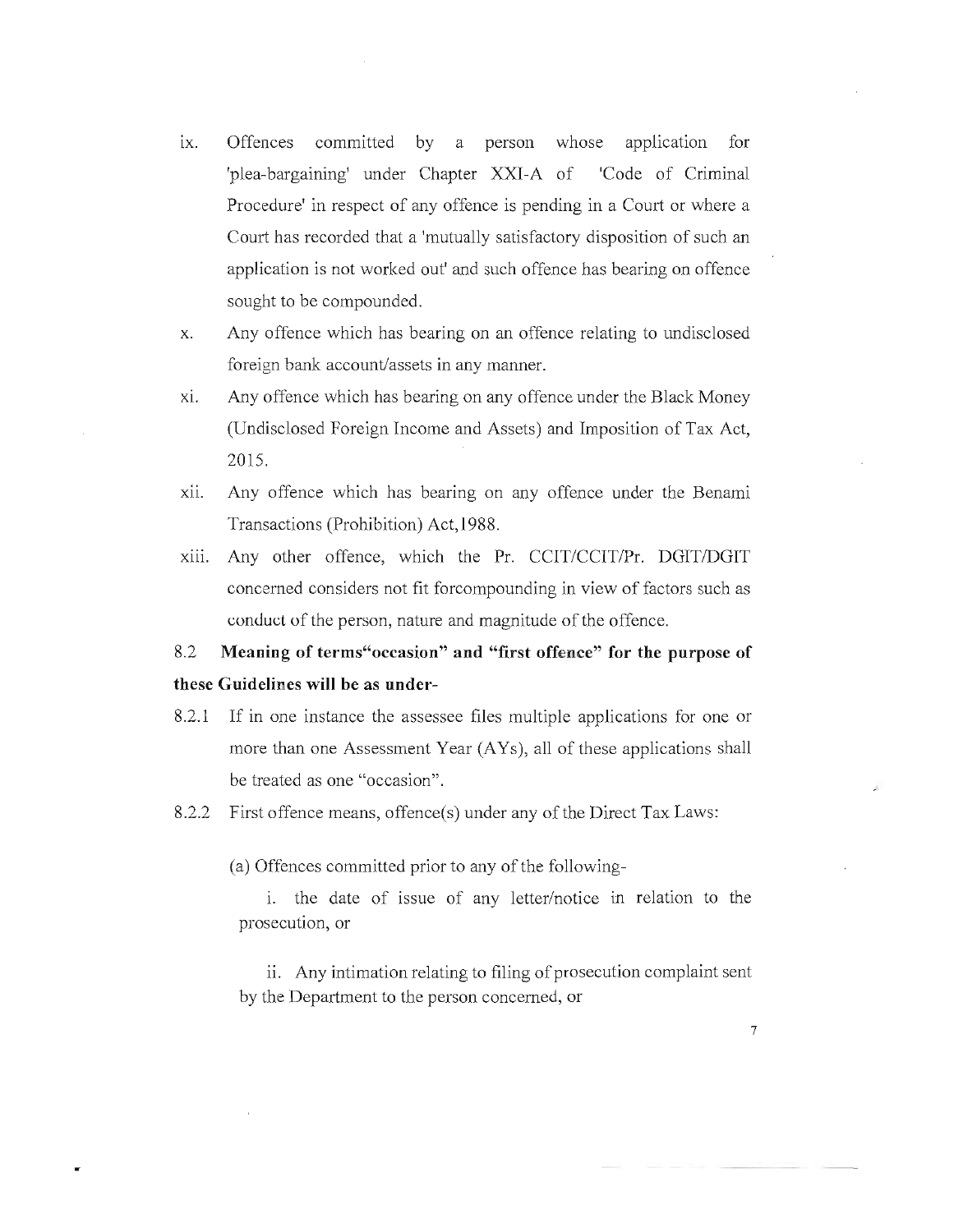- ix. Offences committed by a person whose application for 'plea-bargaining' under Chapter XXI-A of 'Code of Criminal Procedure' in respect of any offence is pending in a Court or where a Court has recorded that a 'mutually satisfactory disposition of such an application is not worked out' and such offence has bearing on offence sought to be compounded.
- x. Any offence which has bearing on an offence relating to undisclosed foreign bank account/assets in any manner.
- Xl. Any offence which has bearing on any offence under the Black Money (Undisclosed Foreign Income and Assets) and Imposition of Tax Act, 2015.
- XII. Any offence which has bearing on any offence under the Benami Transactions (Prohibition) Act,1988.
- Xlli. Any other offence, which the Pr. CCIT/CCITIPr. DGIT/DGIT concerned considers not fit forcompounding in view of factors such as conduct of the person, nature and magnitude of the offence.

# 8.2 **Meaning of terms"occasion" and "first offence" for the purpose of these Guidelines will be as under-**

- 8.2.1 If in one instance the assessee files multiple applications for one or more than one Assessment Year (AYs), all of these applications shall be treated as one "occasion".
- 8.2.2 First offence means, offence(s) under any of the Direct Tax Laws:

(a) Offences committed prior to any of the following-

1. the date of issue of any letter/notice in relation to the prosecution, or

ii. Any intimation relating to filing of prosecution complaint sent by the Department to the person concerned, or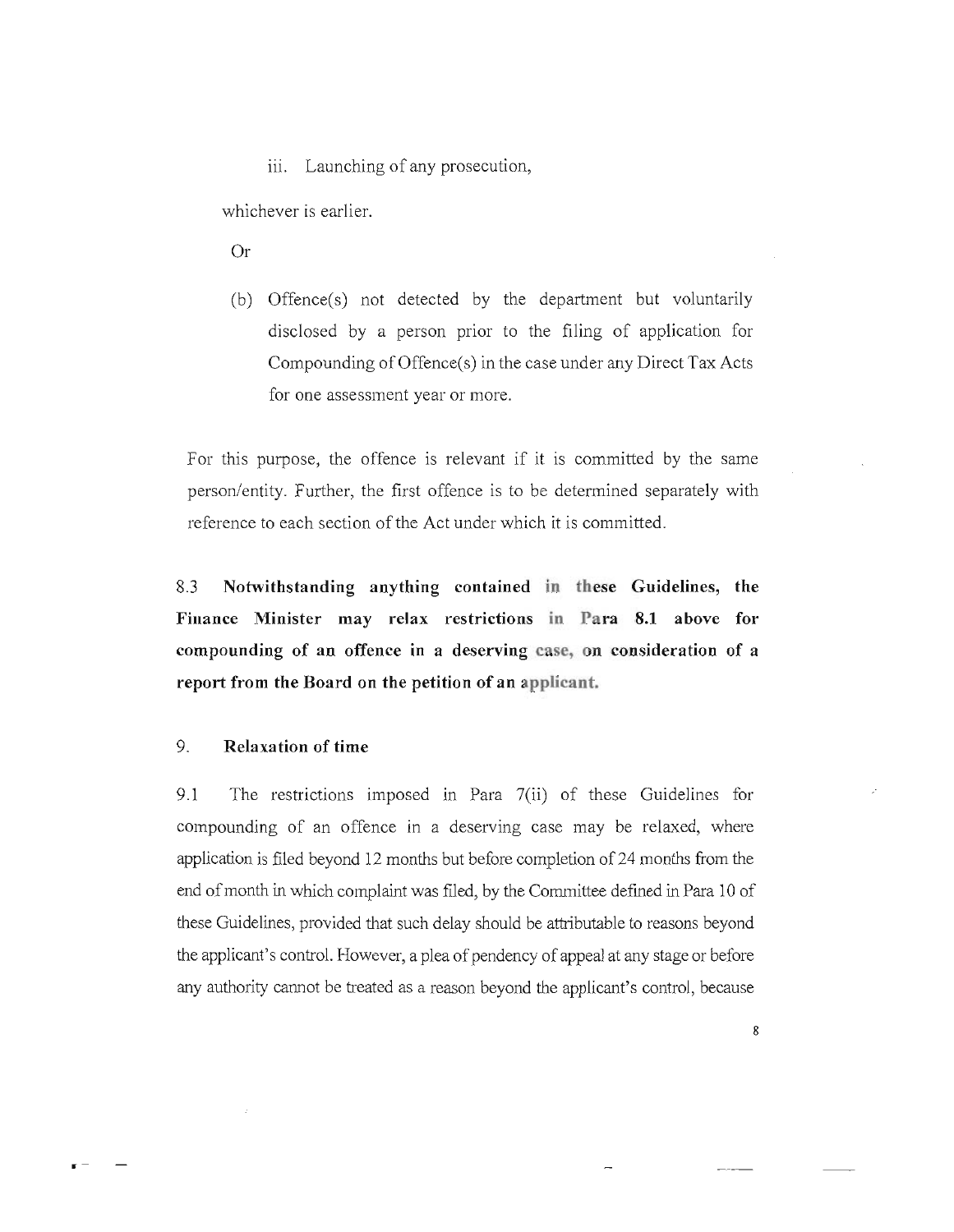iii. Launching of any prosecution,

whichever is earlier.

Or

(b) Offence(s) not detected by the department but voluntarily disclosed by a person prior to the filing of application for Compounding of Offence(s) in the case under any Direct Tax Acts for one assessment year or more.

For this purpose, the offence is relevant if it is committed by the same person/entity. Further, the first offence is to be determined separately with reference to each section of the Act under which it is committed.

8.3 **Notwithstanding anything contained in these Guidelines, the**  Finance Minister may relax restrictions in Para 8.1 above for **compounding of an offence in a deserving case, on consideration of a report from the Board on the petition of an applicant.** 

### 9. **Relaxation of time**

9.1 The restrictions imposed in Para 7(ii) of these Guidelines for compounding of an offence in a deserving case may be relaxed, where application is filed beyond 12 months but before completion of24 months from the end of month in which complaint was filed, by the Committee defrned in Para 10 of these Guidelines, provided that such delay should be attributable to reasons beyond the applicant's control. However, a plea of pendency of appeal at any stage or before any authority cannot be treated as a reason beyond the applicant's control, because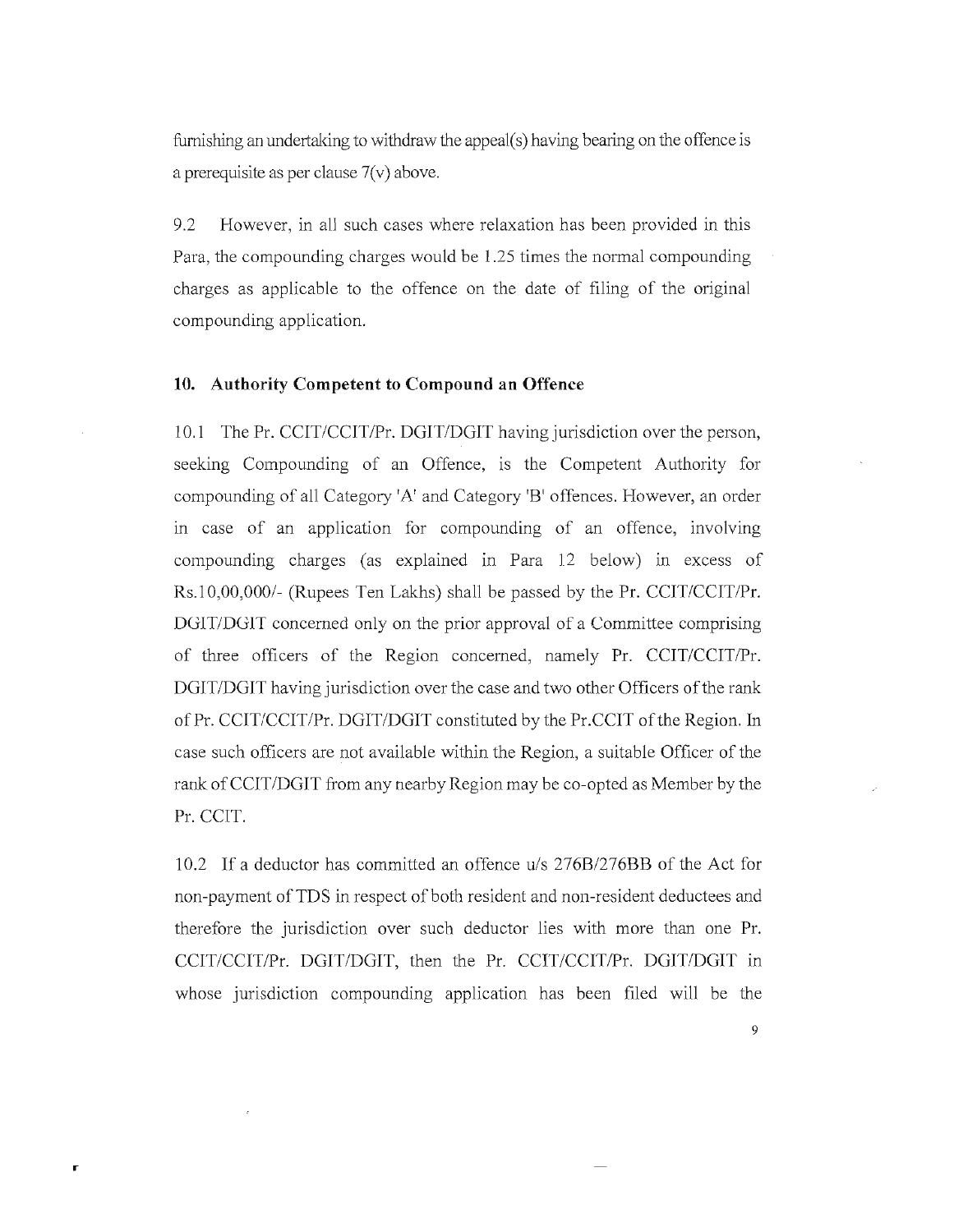furnishing an undertaking to withdraw the appeal( $s$ ) having bearing on the offence is a prerequisite as per clause  $7(v)$  above.

9.2 However, in all such cases where relaxation has been provided in this Para, the compounding charges would be 1.25 times the normal compounding charges as applicable to the offence on the date of filing of the original compounding application.

#### **10. Authority Competent to Compound an Offence**

10.1 The Pr. CCIT/CCIT/Pr. DGIT/DGIT having jurisdiction over the person, seeking Compounding of an Offence, is the Competent Authority for compounding of all Category 'A' and Category 'B' offences. However, an order in case of an application for compounding of an offence, involving compounding charges (as explained in Para 12 below) in excess of  $Rs.10,000,000/$ - (Rupees Ten Lakhs) shall be passed by the Pr. CCIT/CCIT/Pr. DGIT/DGIT concerned only on the prior approval of a Committee comprising of three officers of the Region concerned, namely Pr. CCIT/CCIT/Pr. DGIT/DGIT having jurisdiction over the case and two other Officers of the rank of Pr. CCIT/CCIT/Pr. DGIT/DGIT constituted by the Pr.CCIT of the Region. In case such officers are not available within the Region, a suitable Officer of the rank ofCCIT/DGIT from any nearby Region may be co-opted as Member by the Pr. CCIT.

10.2 If a deductor has committed an offence u/s *276B1276BB* of the Act for non-payment of TDS in respect of both resident and non-resident deductees and therefore the jurisdiction over such deductor lies with more than one Pr. CCIT/CCIT/Pr. DGIT/DGIT, then the Pr. CCIT/CCIT/Pr. DGIT/DGIT in whose jurisdiction compounding application has been filed will be the

r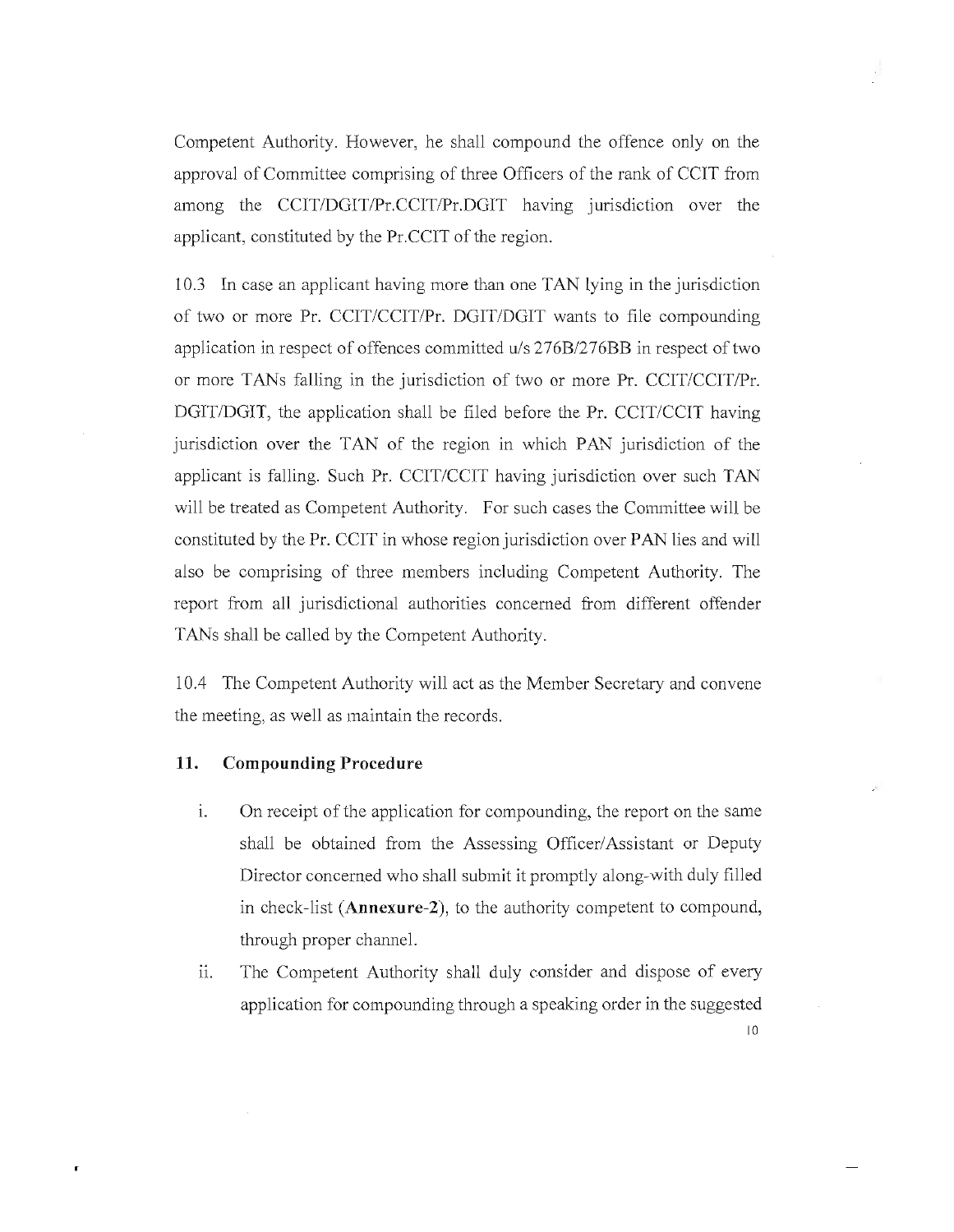Competent Authority. However, he shall compound the offence only on the approval of Committee comprising of three Officers of the rank of CCIT from among the CCIT/DGIT/Pr.CCIT/Pr.DGIT having jurisdiction over the applicant, constituted by the Pr.CCIT of the region.

10.3 In case an applicant having more than one TAN lying in the jurisdiction of two or more Pr. CCIT/CCIT/Pr. DGIT/DGIT wants to file compounding application in respect of offences committed u/s 276B/276BB in respect of two or more TANs falling in the jurisdiction of two or more Pr. CCIT/CCIT/Pr. DGIT/DGIT, the application shall be filed before the Pr. CCIT/CCIT having jurisdiction over the TAN of the region in which PAN jurisdiction of the applicant is falling. Such Pr. CCIT/CCIT having jurisdiction over such TAN will be treated as Competent Authority. For such cases the Committee will be constituted by the Pr. CCIT in whose region jurisdiction over PAN lies and will also be comprising of three members including Competent Authority. The report from all jurisdictional authorities concerned from different offender TANs shall be called by the Competent Authority.

10.4 The Competent Authority will act as the Member Secretary and convene the meeting, as well as maintain the records.

#### **11. Compounding Procedure**

r

- i. On receipt of the application for compounding, the report on the same shall be obtained from the Assessing Officer/Assistant or Deputy Director concerned who shall submit it promptly along-with duly filled in check-list (Annexure-2), to the authority competent to compound, through proper channel.
- ii. The Competent Authority shall duly consider and dispose of every application for compounding through a speaking order in the suggested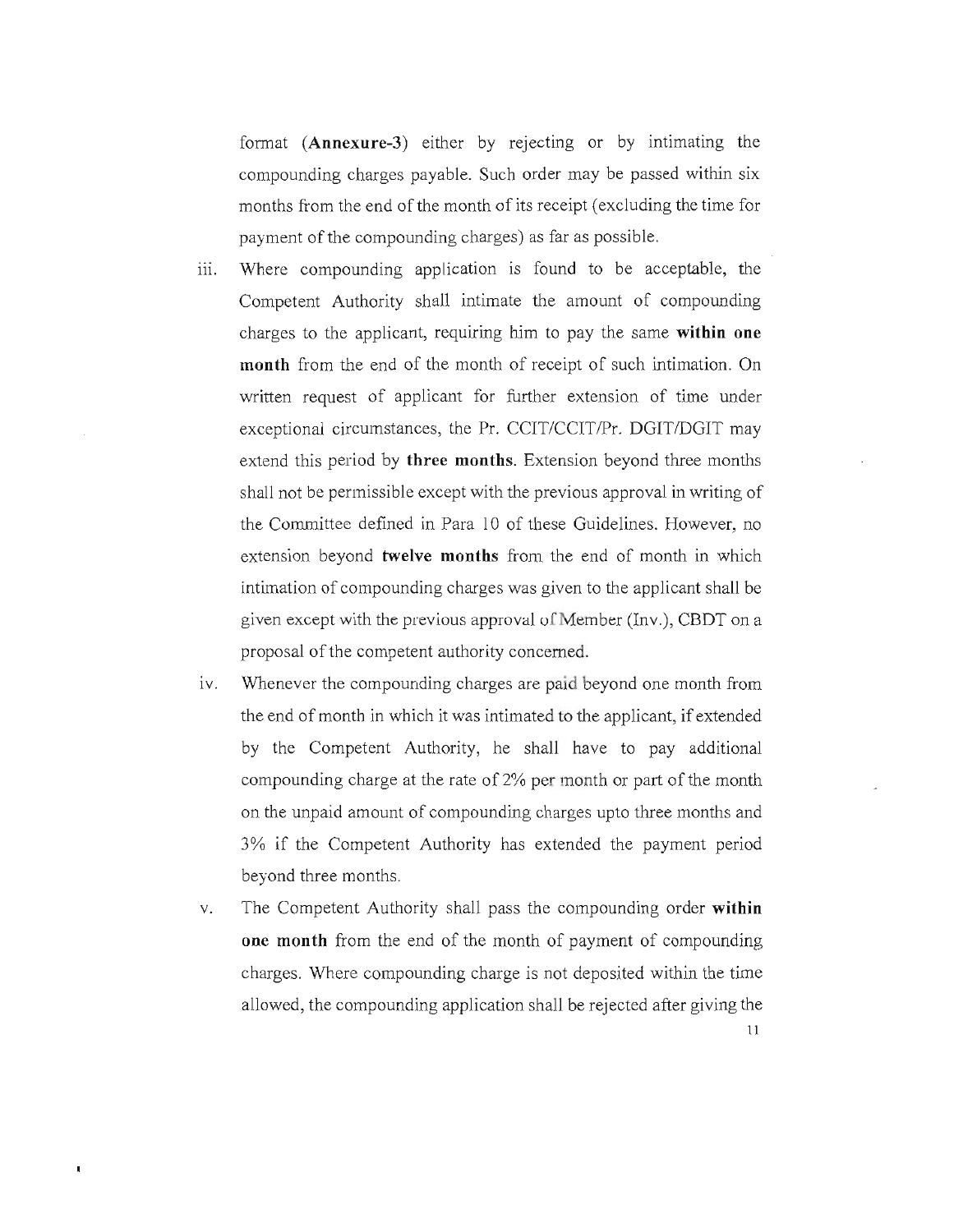fonnat **(Annexure-3)** either by rejecting or by intimating the compounding charges payable. Such order may be passed within six months from the end of the month of its receipt (excluding the time for payment of the compounding charges) as far as possible.

- iii. Where compounding application is found to be acceptable, the Competent Authority shall intimate the amount of compounding charges to the applicant, requiring him to pay the same **within one month** from the end of the month of receipt of such intimation. On written request of applicant for further extension of time under exceptional circumstances, the Pr. CCIT/CCIT/Pr. DGIT/DGIT may extend this period by **three months.** Extension beyond three months shall not be permissible except with the previous approval in writing of the Committee defined in Para 10 of these Guidelines. However, no extension beyond **twelve months** from the end of month in which intimation of compounding charges was given to the applicant shall be given except with the previous approval of Member (Inv.), CBDT on a proposal of the competent authority concerned.
- iv. Whenever the compounding charges are paid beyond one month from the end of month in which it was intimated to the applicant, if extended by the Competent Authority, he shall have to pay additional compounding charge at the rate of 2% per month or part of the month on the unpaid amount of compounding charges upto three months and 3% if the Competent Authority has extended the payment period beyond three months.
- v. The Competent Authority shall pass the compounding order **within one month** from the end of the month of payment of compounding charges. Where compounding charge is not deposited within the time allowed, the compounding application shall be rejected after giving the

 $\blacksquare$ 

II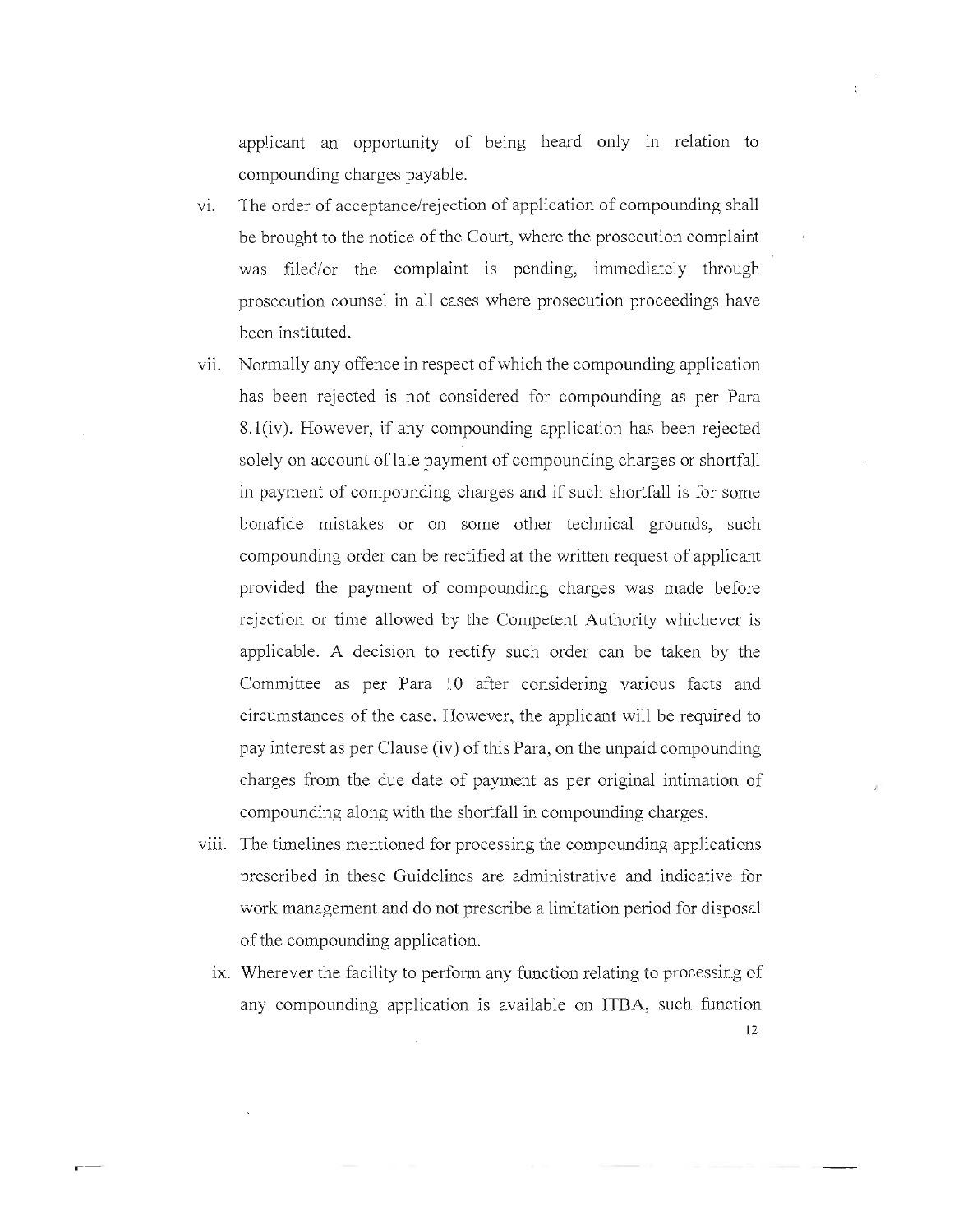applicant an opportunity of being heard only in relation to compounding charges payable.

- VI. The order of acceptance/rejection of application of compounding shall be brought to the notice of the Court, where the prosecution complaint was filed/or the complaint is pending, immediately through prosecution counsel in all cases where prosecution proceedings have been instituted.
- vii. Normally any offence in respect of which the compounding application has been rejected is not considered for compounding as per Para 8.1(iv). However, if any compounding application has been rejected solely on account of late payment of compounding charges or shortfall in payment of compounding charges and if such shortfall is for some bonafide mistakes or on some other technical grounds, such compounding order can be rectified at the written request of applicant provided the payment of compounding charges was made before rejection or time allowed by the Competent Authority whichever is applicable. A decision to rectify such order can be taken by the Committee as per Para 10 after considering various facts and circumstances of the case. However, the applicant will be required to pay interest as per Clause (iv) of this Para, on the unpaid compounding charges from the due date of payment as per original intimation of compounding along with the shortfall in compounding charges.
- viii. The time lines mentioned for processing the compounding applications prescribed in these Guidelines are administrative and indicative for work management and do not prescribe a limitation period for disposal of the compounding application.
	- ix. Wherever the facility to perform any function relating to processing of any compounding application is available on ITBA, such function 12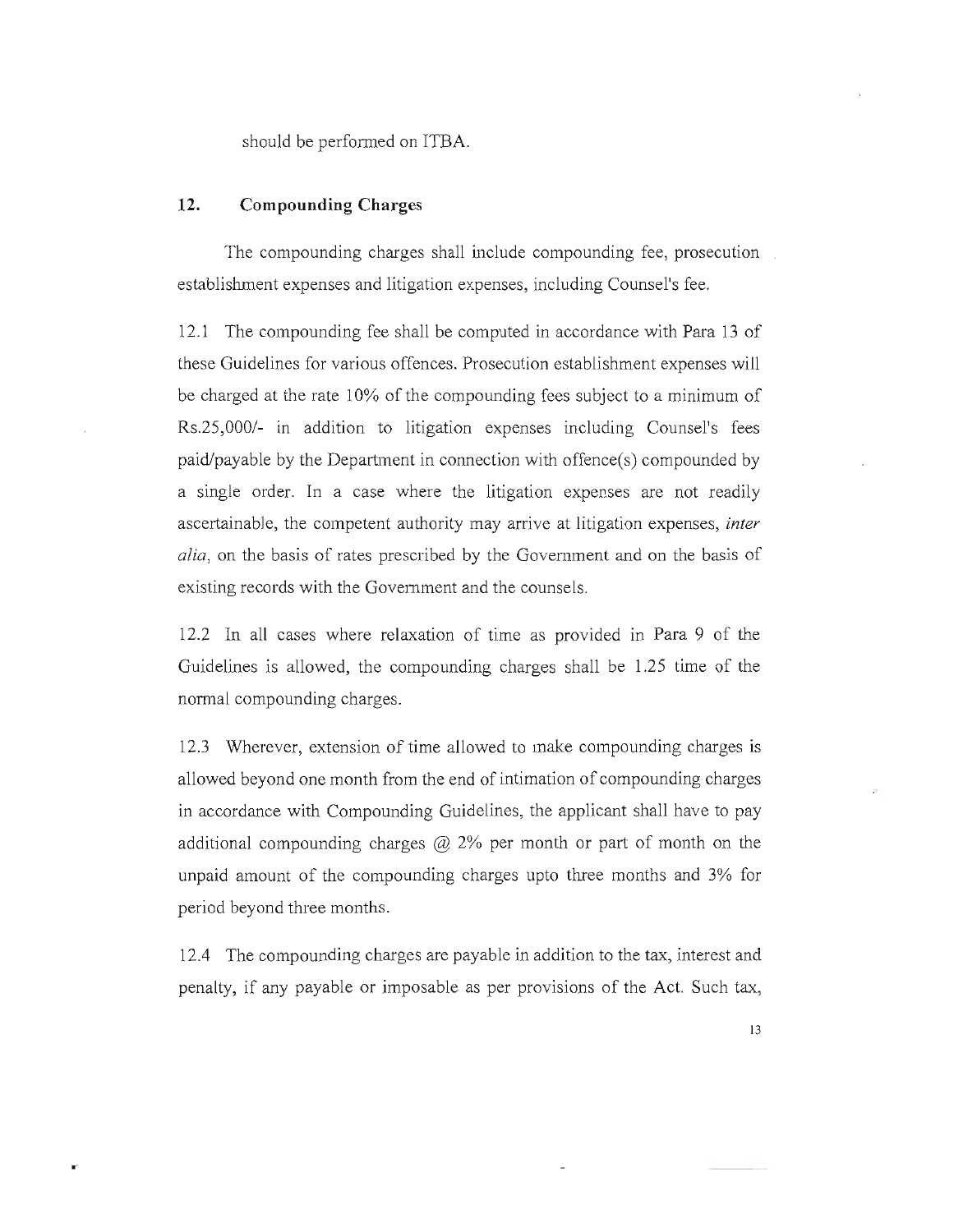should be performed on ITBA.

### **12. Compounding Charges**

×

The compounding charges shall include compounding fee, prosecution establishment expenses and litigation expenses, including Counsel's fee.

12.1 The compounding fee shall be computed in accordance with Para 13 of these Guidelines for various offences. Prosecution establishment expenses will be charged at the rate 10% of the compounding fees subject to a minimum of Rs.25,000/- in addition to litigation expenses including Counsel's fees paid/payable by the Department in connection with offence(s) compounded by a single order. In a case where the litigation expenses are not readily ascertainable, the competent authority may arrive at litigation expenses, *inter alia,* on the basis of rates prescribed by the Government and on the basis of existing records with the Government and the counsels.

12.2 In all cases where relaxation of time as provided in Para 9 of the Guidelines is allowed, the compounding charges shall be 1.25 time of the normal compounding charges.

12.3 Wherever, extension of time allowed to make compounding charges is allowed beyond one month from the end of intimation of compounding charges in accordance with Compounding Guidelines, the applicant shall have to pay additional compounding charges  $\mathcal{D}_2$  2% per month or part of month on the unpaid amount of the compounding charges upto three months and 3% for period beyond three months.

12.4 The compounding charges are payable in addition to the tax, interest and penalty, if any payable or imposable as per provisions of the Act. Such tax,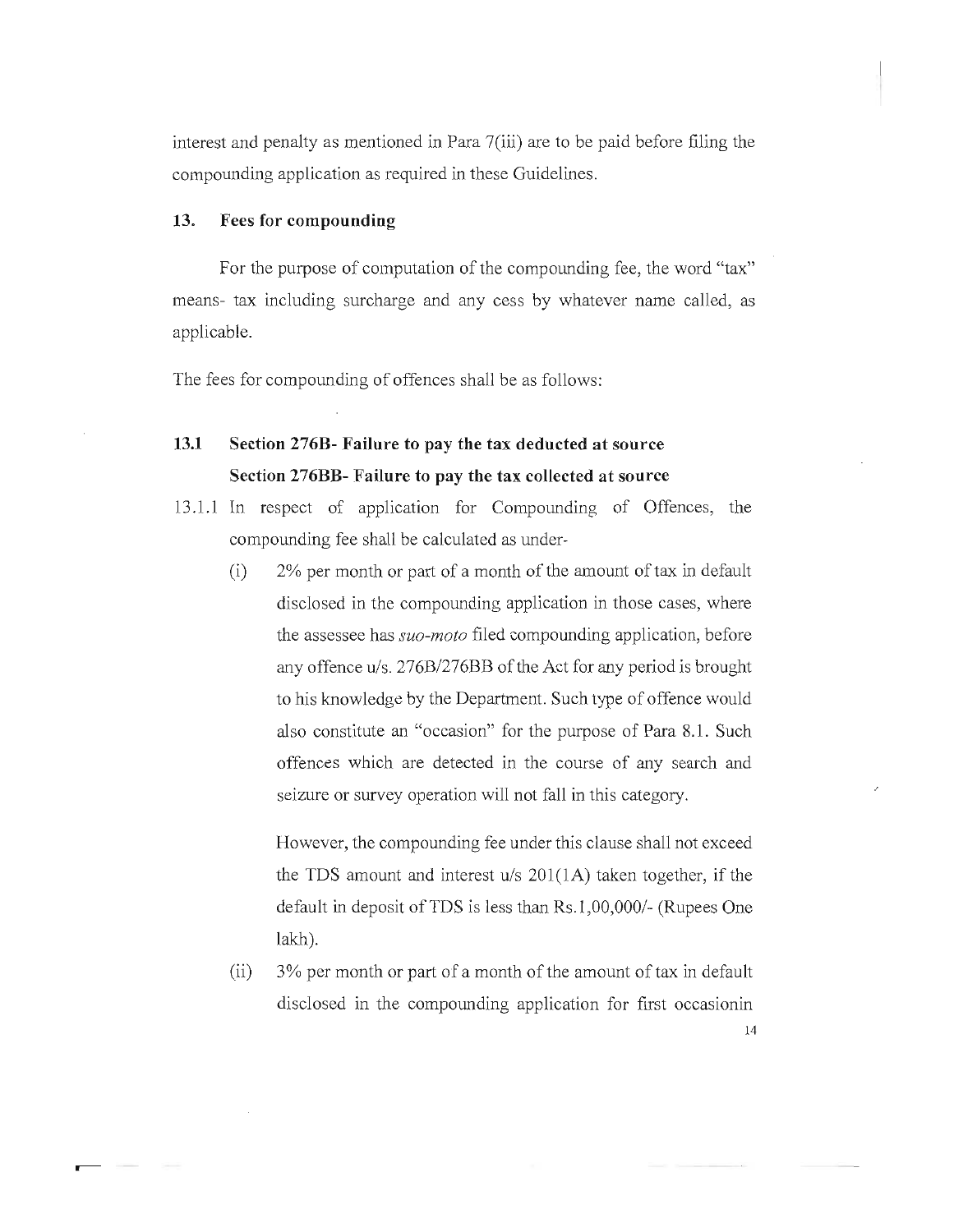interest and penalty as mentioned in Para 7(iii) are to be paid before filing the compounding application as required in these Guidelines.

## 13. Fees for compounding

For the purpose of computation of the compounding fee, the word "tax" means- tax including surcharge and any cess by whatever name called, as applicable.

The fees for compounding of offences shall be as follows:

# 13.1 Section 276B- Failure to pay the tax deducted at source Section 276BB- Failure to pay the tax collected at source

- 13.1.1 In respect of application for Compounding of Offences, the compounding fee shall be calculated as under-
	- (i) 2% per month or part of a month of the amount of tax in default disclosed in the compounding application in those cases, where the assessee has *suo-moto* filed compounding application, before any offence *u/s. 276B/276BB* of the Act for any period is brought to his knowledge by the Department. Such type of offence would also constitute an "occasion" for the purpose of Para 8.1. Such offences which are detected in the course of any search and seizure or survey operation will not fall in this category.

However, the compounding fee under this clause shall not exceed the TDS amount and interest *u/s* 20l(lA) taken together, if the default in deposit ofTDS is less than Rs. 1 *,00,0001-* (Rupees One lakh).

(ii) 3% per month or part of a month of the amount of tax in default disclosed in the compounding application for first occasionin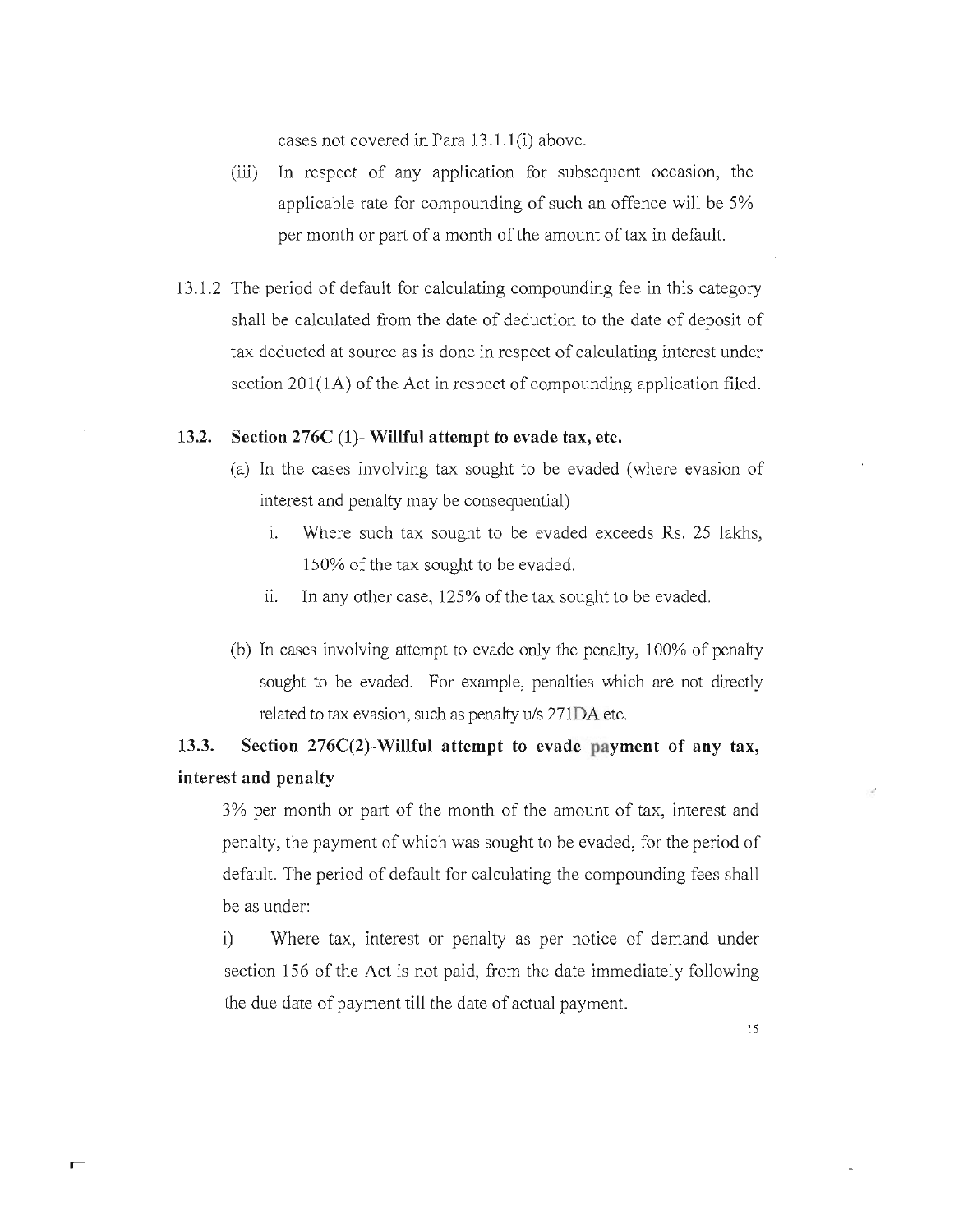cases not covered in Para 13.1.1 (i) above.

- (iii) In respect of any application for subsequent occasion, the applicable rate for compounding of such an offence will be 5% per month or part of a month of the amount of tax in default.
- 13.1.2 The period of default for calculating compounding fee in this category shall be calculated from the date of deduction to the date of deposit of tax deducted at source as is done in respect of calculating interest under section  $201(1)$  of the Act in respect of compounding application filed.

### **13.2. Section 276C (1)- Willful attempt to evade tax, etc.**

- (a) In the cases involving tax sought to be evaded (where evasion of interest and penalty may be consequential)
	- i. Where such tax sought to be evaded exceeds Rs. 25 lakhs, 150% of the tax sought to be evaded.
	- ii. In any other case,  $125\%$  of the tax sought to be evaded.
- (b) In cases involving attempt to evade only the penalty, 100% of penalty sought to be evaded. For example, penalties which are not directly related to tax evasion, such as penalty uls 271DA etc.

# **13.3. Section 276C(2)-Willful attempt to evade payment of any tax, interest and penalty**

3% per month or part of the month of the amount of tax, interest and penalty, the payment of which was sought to be evaded, for the period of default. The period of default for calculating the compounding fees shall be as under:

i) Where tax, interest or penalty as per notice of demand under section 156 of the Act is not paid, from the date immediately following the due date of payment till the date of actual payment.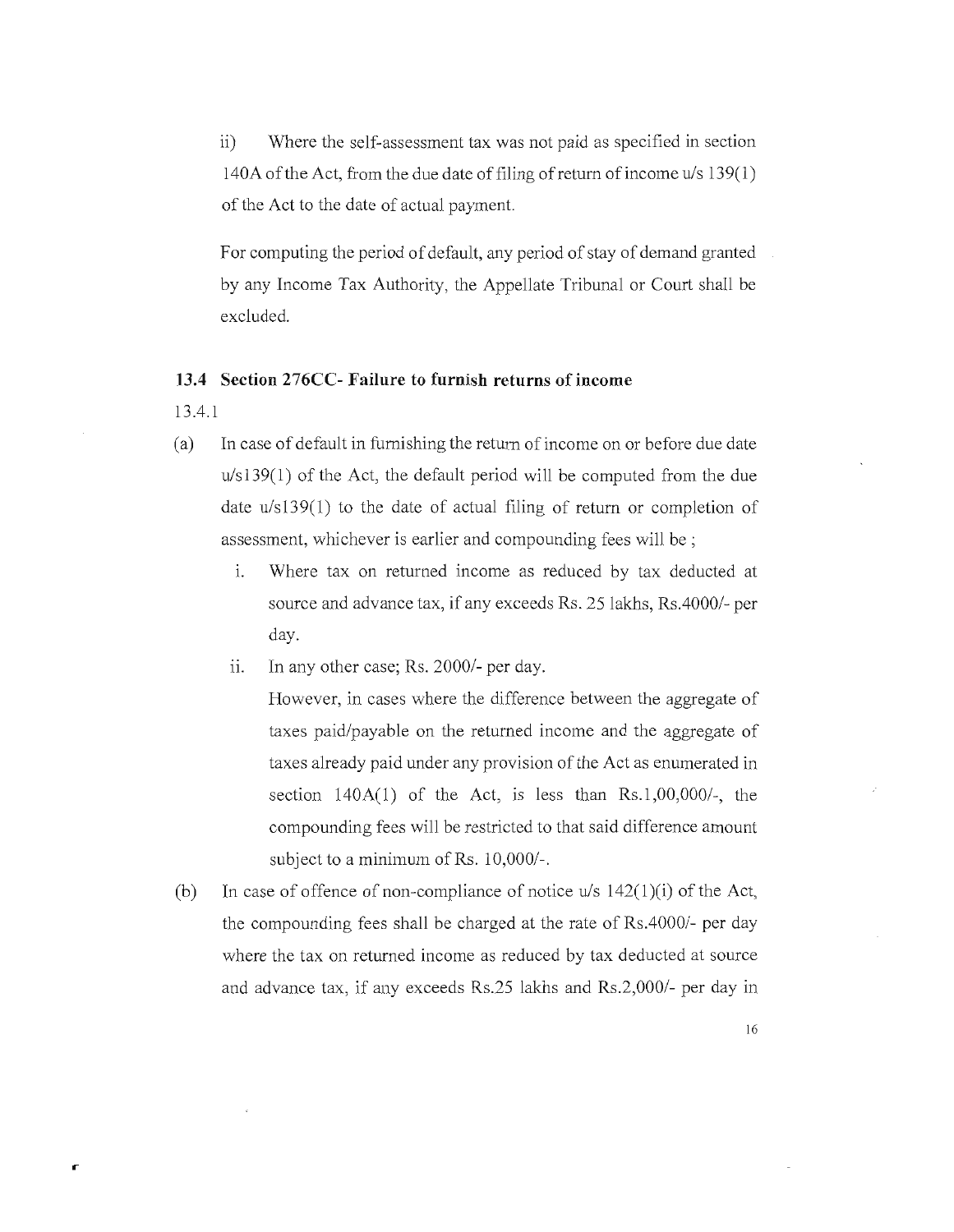ii) Where the self-assessment tax was not paid as specified in section 140A of the Act, from the due date of filing of return of income u/s 139(1) of the Act to the date of actual payment.

For computing the period of default, any period of stay of demand granted by any Income Tax Authority, the Appellate Tribunal or Court shall be excluded.

### **13.4 Section 276CC- Failure to furnish returns of income**

*1304.1* 

r

- (a) In case of default in furnishing the return of income on or before due date *u/sI39(1)* of the Act, the default period will be computed from the due date *u/s139(1)* to the date of actual filing of return or completion of assessment, whichever is earlier and compounding fees will be ;
	- 1. Where tax on returned income as reduced by tax deducted at source and advance tax, if any exceeds Rs. 25 lakhs, Rs. 4000/- per day.
	- **11.** In any other case; Rs. *20001-* per day.

However, in cases where the difference between the aggregate of taxes paid/payable on the returned income and the aggregate of taxes already paid under any provision of the Act as enumerated in section 140A(1) of the Act, is less than Rs.1,00,000/-, the compounding fees will be restricted to that said difference amount subject to a minimum of Rs. 10,000/-.

(b) In case of offence of non-compliance of notice  $u/s$  142(1)(i) of the Act, the compounding fees shall be charged at the rate of *RsAOOO/-* per day where the tax on returned income as reduced by tax deducted at source and advance tax, if any exceeds Rs.25 lakhs and *Rs.2,0001-* per day in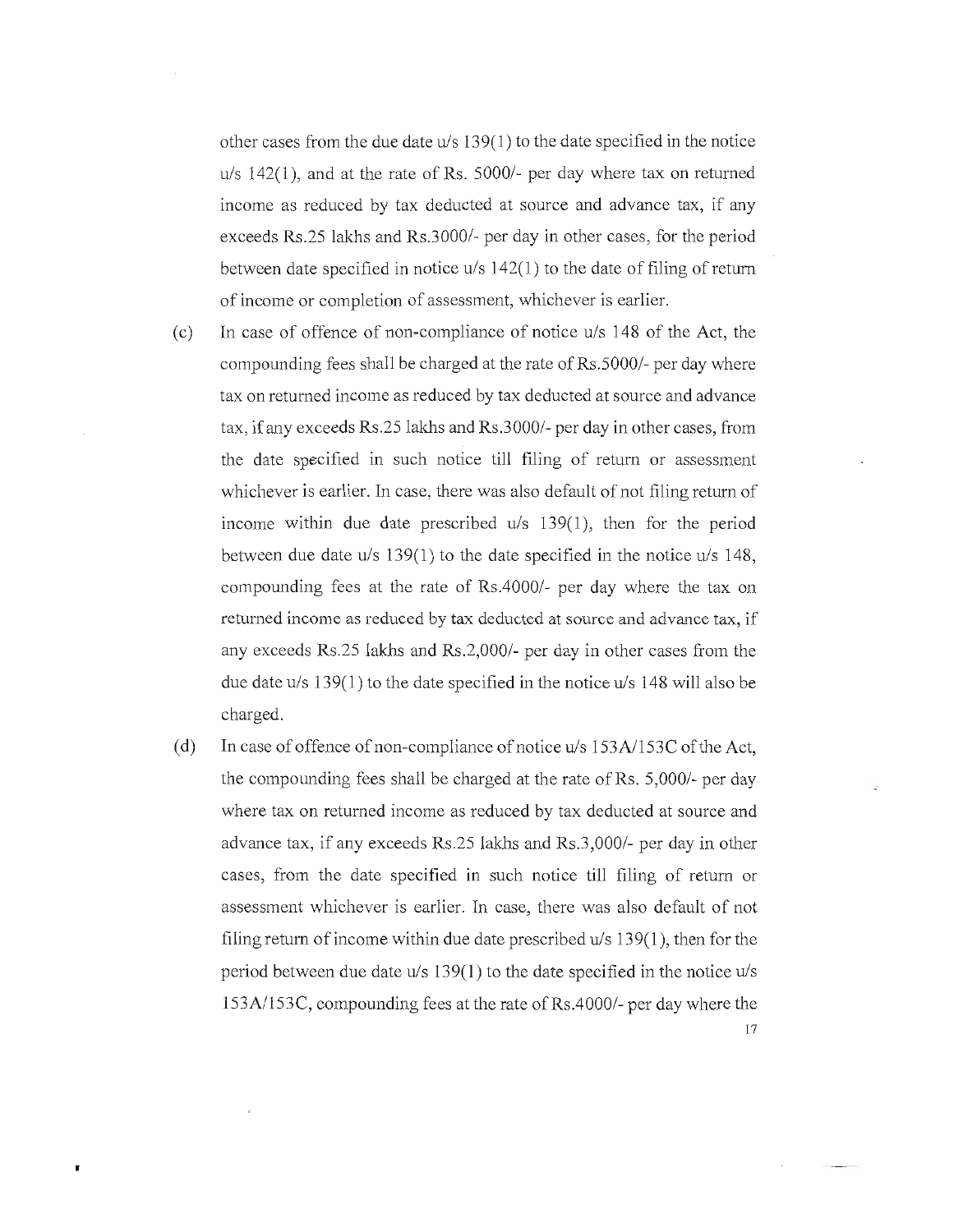other cases from the due date u/s 139(1) to the date specified in the notice  $u/s$  142(1), and at the rate of Rs. 5000/- per day where tax on returned income as reduced by tax deducted at source and advance tax, if any exceeds Rs.25 lakhs and Rs.3000/- per day in other cases, for the period between date specified in notice u/s 142(1) to the date of filing of return of income or completion of assessment, whichever is earlier.

- (c) In case of offence of non-compliance of notice  $u/s$  148 of the Act, the compounding fees shall be charged at the rate of Rs.5000/- per day where tax on returned income as reduced by tax deducted at source and advance tax, if any exceeds Rs.25 lakhs and Rs.3000/- per day in other cases, from the date specified in such notice till filing of return or assessment whichever is earlier. In case, there was also default of not filing return of income within due date prescribed u/s 139(1), then for the period between due date u/s 139(1) to the date specified in the notice u/s 148, compounding fees at the rate of Rs.4000/- per day where the tax on returned income as reduced by tax deducted at source and advance tax, if any exceeds Rs.25 lakhs and Rs.2,000/- per day in other cases from the due date  $u/s$  139(1) to the date specified in the notice  $u/s$  148 will also be charged.
- (d) In case of offence of non-compliance of notice  $u/s$  153A/153C of the Act, the compounding fees shall be charged at the rate of Rs.  $5,000/$ - per day where tax on returned income as reduced by tax deducted at source and advance tax, if any exceeds Rs.25 lakhs and Rs.3,000/- per day in other cases, from the date specified in such notice till filing of return or assessment whichever is earlier. In case, there was also default of not filing return of income within due date prescribed u/s 139(1), then for the period between due date  $u/s$  139(1) to the date specified in the notice  $u/s$ 153A1153C, compounding fees at the rate ofRs.4000/- per day where the 17

•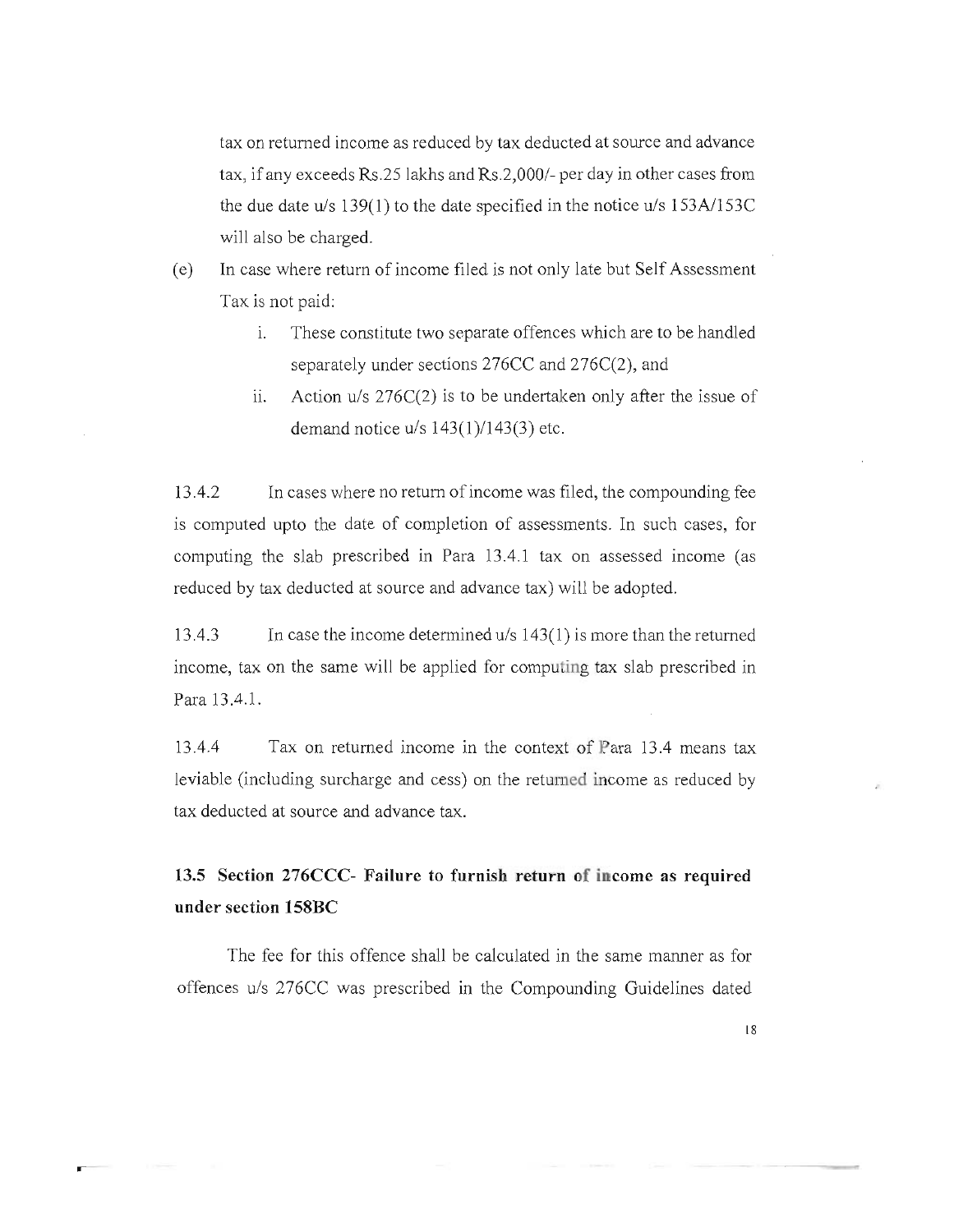tax on returned income as reduced by tax deducted at source and advance tax, if any exceeds  $Rs.25$  lakhs and  $Rs.2,000/$ - per day in other cases from the due date U/S 139(1) to the date specified in the notice *uls 153A1153C*  will also be charged.

- (e) In case where return of income filed is not only late but Self Assessment Tax is not paid:
	- i. These constitute two separate offences which are to be handled separately under sections 276CC and 276C(2), and
	- ii. Action *u*/s 276C(2) is to be undertaken only after the issue of demand notice *uls 143(1)/143(3 )* etc.

13.4.2 In cases where no return of income was filed, the compounding fee is computed upto the date of completion of assessments. In such cases, for computing the slab prescribed in Para 13.4.1 tax on assessed income (as reduced by tax deducted at source and advance tax) will be adopted.

13.4.3 In case the income determined *u/s* 143(1) is more than the returned income, tax on the same will be applied for computing tax slab prescribed in Para 13.4.1.

13.4.4 Tax on returned income in the context of Para 13.4 means tax leviable (including surcharge and cess) on the returned income as reduced by tax deducted at source and advance tax.

**13.5 Section 276CCC- Failure to furnish return of income as required under section 158BC** 

The fee for this offence shall be calculated in the same manner as for offences *uls* 276CC was prescribed in the Compounding Guidelines dated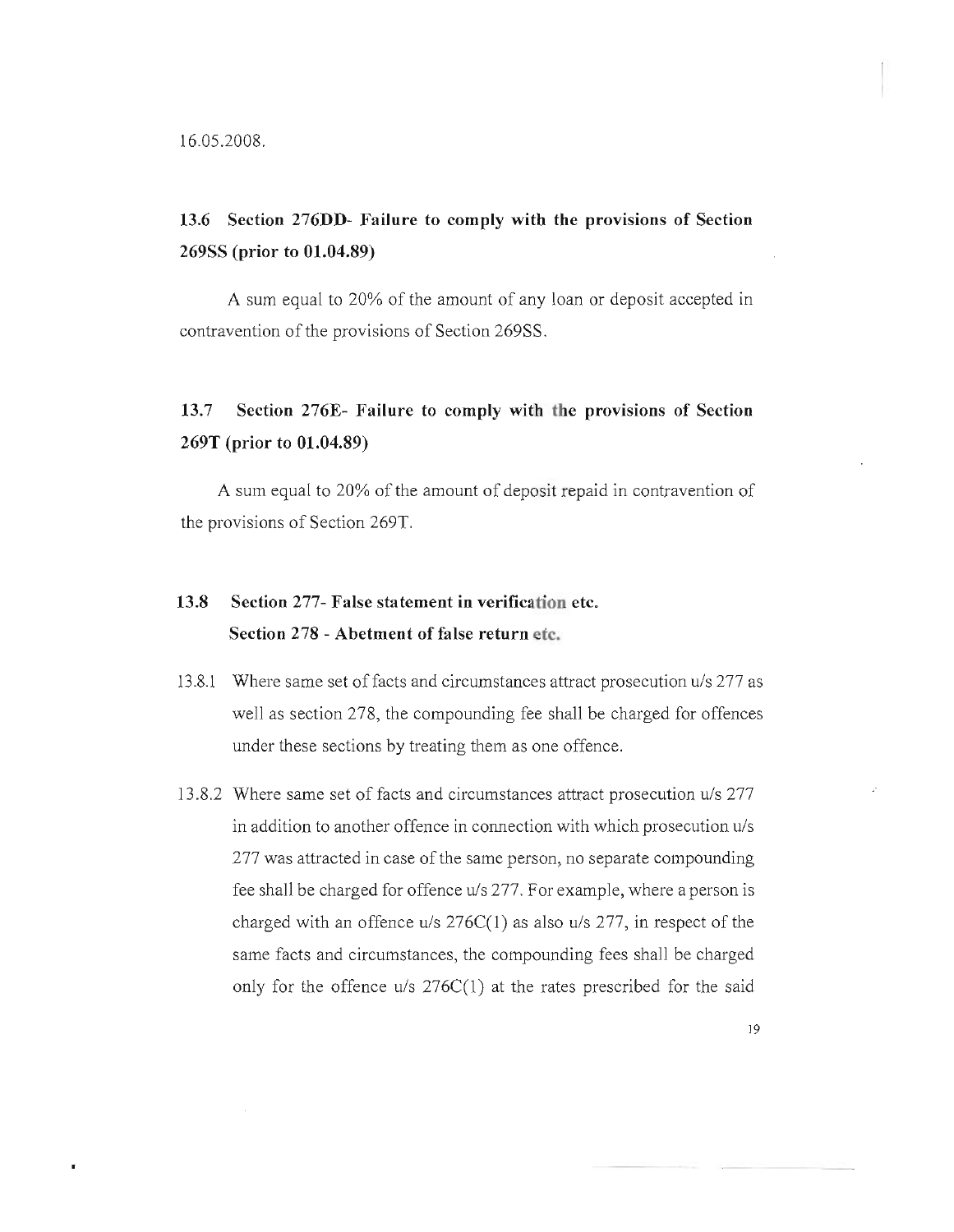×

# **13.6 Section 276DD- Failure to comply with the provisions of Section 269SS (prior to 01.04.89)**

A sum equal to 20% of the amount of any loan or deposit accepted in contravention of the provisions of Section 269SS.

# **13.7 Section 276E- Failure to comply with the provisions of Section 269T (prior to 01.04.89)**

A sum equal to 20% of the amount of deposit repaid in contravention of the provisions of Section 269T.

# **13.8 Section 277- False statement in verification etc. Section 278 - Abetment of false return etc.**

- 13.8.1 Where same set off acts and circumstances attract prosecution *uls* 277 as well as section 278, the compounding fee shall be charged for offences under these sections by treating them as one offence.
- 13.8.2 Where same set of facts and circumstances attract prosecution *uls 277*  in addition to another offence in connection with which prosecution *uls*  277 was attracted in case of the same person, no separate compounding fee shall be charged for offence U/S 277. For example, where a person is charged with an offence *uls* 276C(1 ) as also *uls* 277, in respect of the same facts and circumstances, the compounding fees shall be charged only for the offence *uls* 276C(1) at the rates prescribed for the said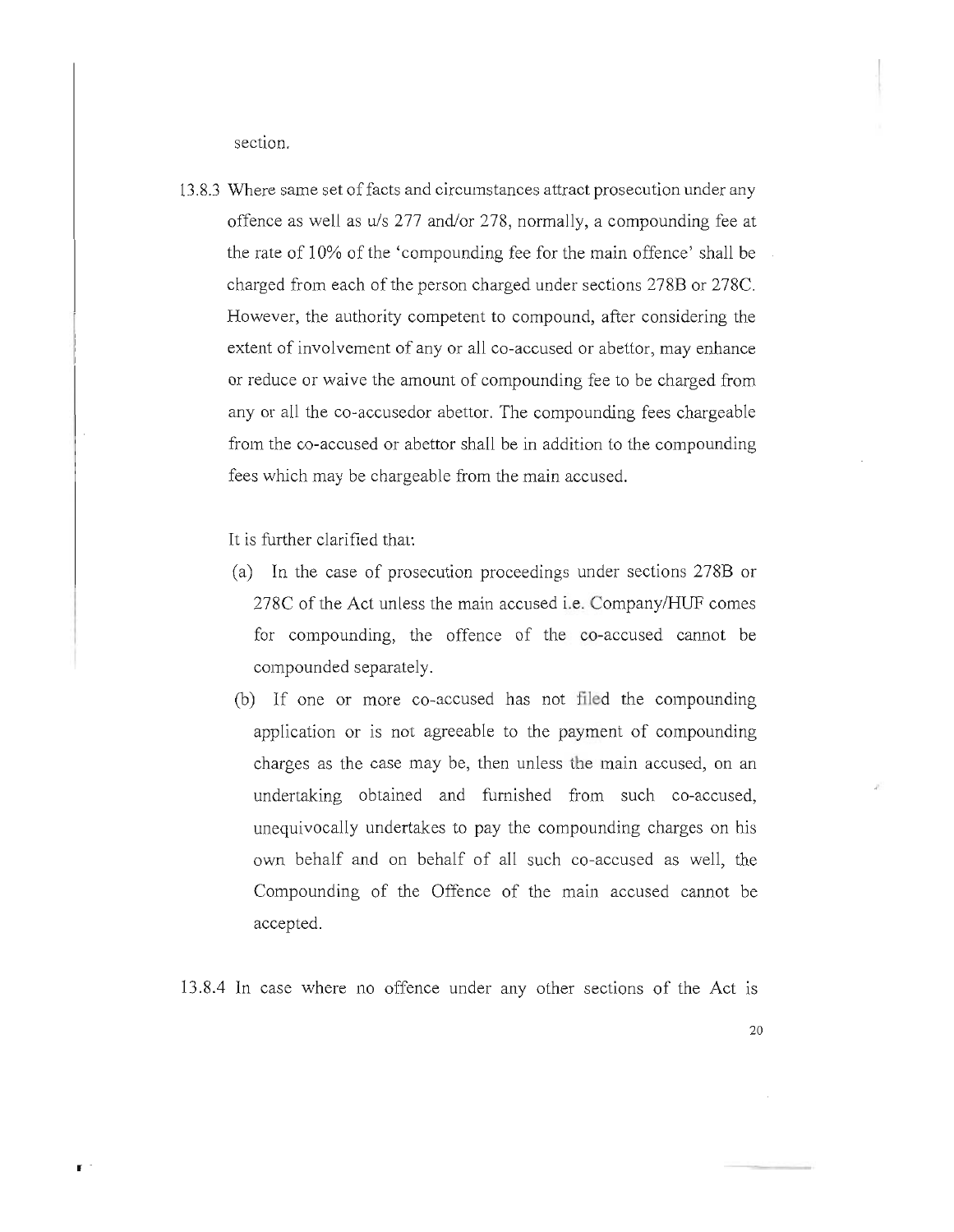section.

13.8.3 Where same set of facts and circumstances attract prosecution under any offence as well as u/s 277 and/or 278, normally, a compounding fee at the rate of 10% of the 'compounding fee for the main offence' shall be charged from each of the person charged under sections 278B or 278C. However, the authority competent to compound, after considering the extent of involvement of any or all co-accused or abettor, may enhance or reduce or waive the amount of compounding fee to be charged from any or all the co-accusedor abettor. The compounding fees chargeable from the co-accused or abettor shall be in addition to the compounding fees which may be chargeable from the main accused.

It is further clarified that:

 $\mathbf{F}$ 

- (a) **In** the case of prosecution proceedings under sections 278B or 278C of the Act unless the main accused i.e. CompanylHUF comes for compounding, the offence of the co-accused cannot be compounded separately.
- (b) If one or more co-accused has not filed the compounding application or is not agreeable to the payment of compounding charges as the case may be, then unless the main accused, on an undertaking obtained and furnished from such co-accused, unequivocally undertakes to pay the compounding charges on his own behalf and on behalf of all such co-accused as well, the Compounding of the Offence of the main accused cannot be accepted.

13.8.4 In case where no offence under any other sections of the Act IS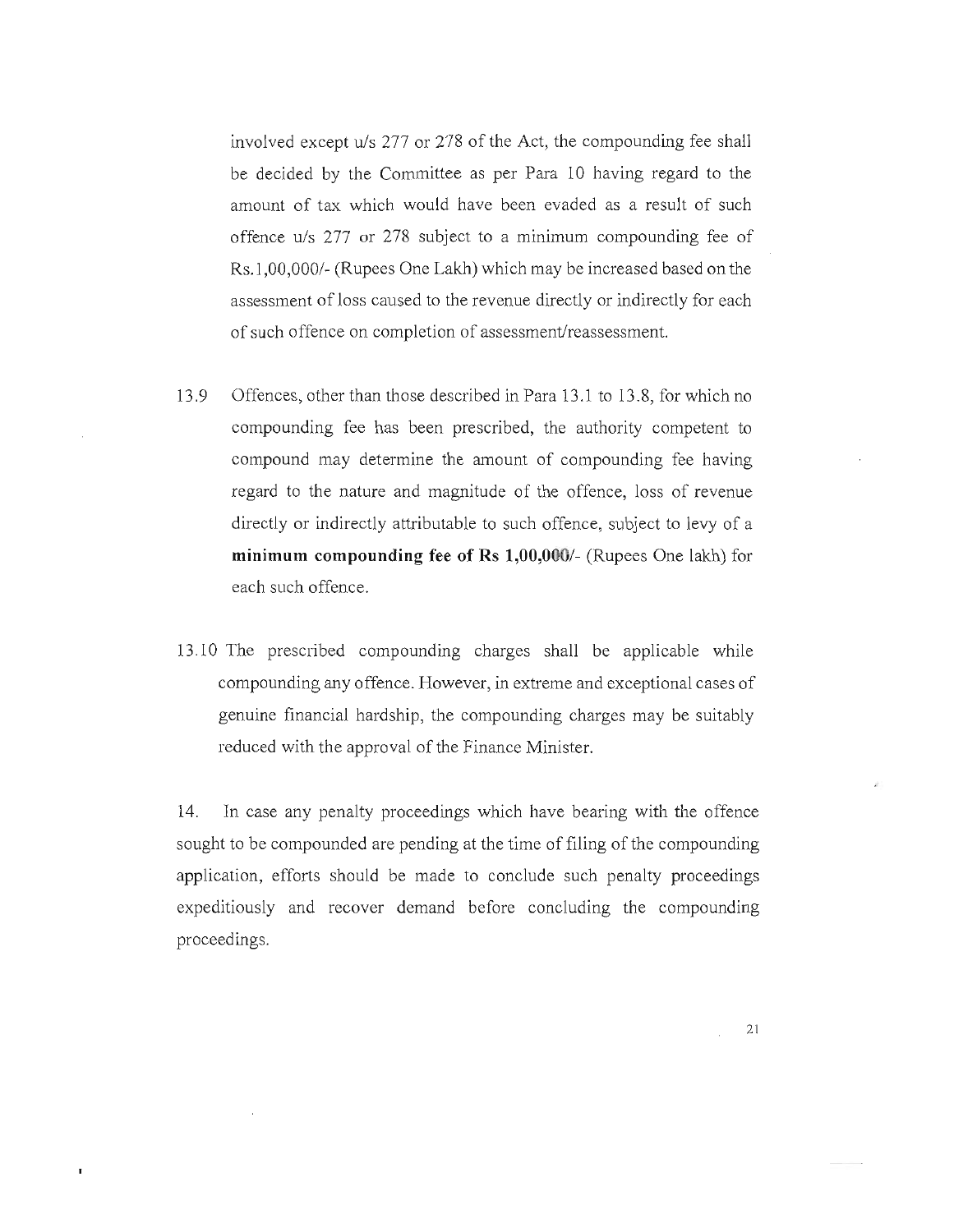involved except *uls* 277 or 278 of the Act, the compounding fee shall be decided by the Committee as per Para 10 having regard to the amount of tax which would have been evaded as a result of such offence *uls* 277 or 278 subject to a minimum compounding fee of Rs.l *,00,0001-* (Rupees One Lakh) which may be increased based on the assessment of loss caused to the revenue directly or indirectly for each of such offence on completion of assessment/reassessment.

- 13.9 Offences, other than those described in Para 13.1 to 13.8, for which no compounding fee has been prescribed, the authority competent to compound may determine the amount of compounding fee having regard to the nature and magnitude of the offence, loss of revenue directly or indirectly attributable to such offence, subject to levy of a **minimum compounding fee of Rs** *1,00,000/-* (Rupees One lakh) for each such offence.
- 13.10 The prescribed compounding charges shall be applicable while compounding any offence. However, in extreme and exceptional cases of genuine financial hardship, the compounding charges may be suitably reduced with the approval of the Finance Minister.

14. **In** case any penalty proceedings which have bearing with the offence sought to be compounded are pending at the time of filing of the compounding application, efforts should be made to conclude such penalty proceedings expeditiously and recover demand before concluding the compounding proceedings.

 $\mathbf I$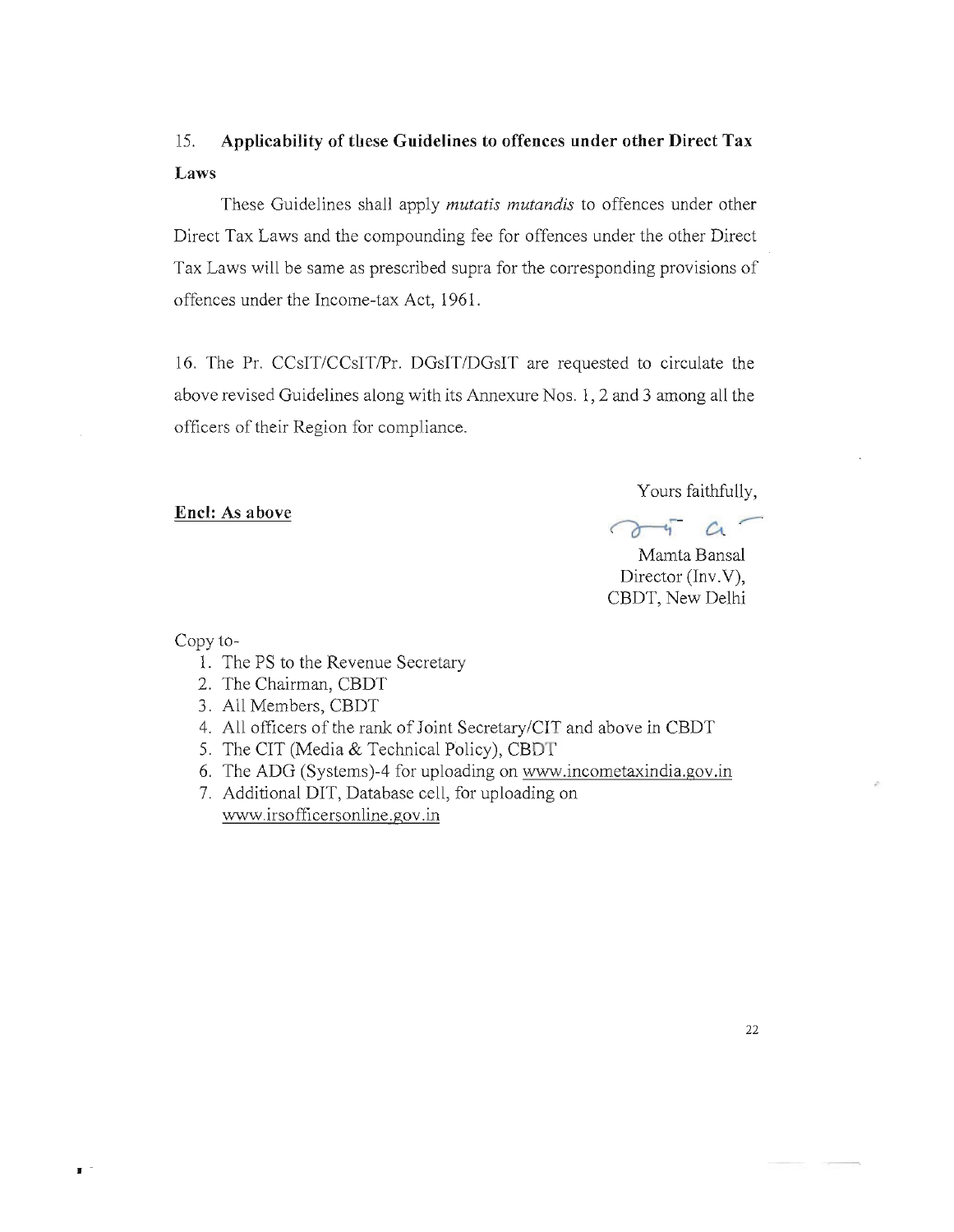# 15. **Applicability of these Guidelines to offences under other Direct Tax Laws**

These Guidelines shall apply *mutatis mutandis* to offences under other Direct Tax Laws and the compounding fee for offences under the other Direct Tax Laws will be same as prescribed supra for the corresponding provisions of offences under the Income-tax Act, 1961.

16. The Pr. CCsIT/CCsIT/Pr. DGsIT/DGsIT are requested to circulate the above revised Guidelines along with its Annexure Nos. 1, 2 and 3 among all the officers of their Region for compliance.

### **Encl: As above**

Yours faithfully,

Mamta Bansal Director (Inv.V), CBDT, New Delhi

Copy to-

•

- 1. The PS to the Revenue Secretary
- 2. The Chairman, CBDT
- 3. All Members, CBDT
- 4. All officers of the rank of Joint Secretary/CIT and above in CBDT
- 5. The CIT (Media & Technical Policy), CBDT
- 6. The ADG (Systems)-4 for uploading on www.incometaxindia.gov.in
- 7. Additional DIT, Database cell, for uploading on www.irsofficersonline.gov.in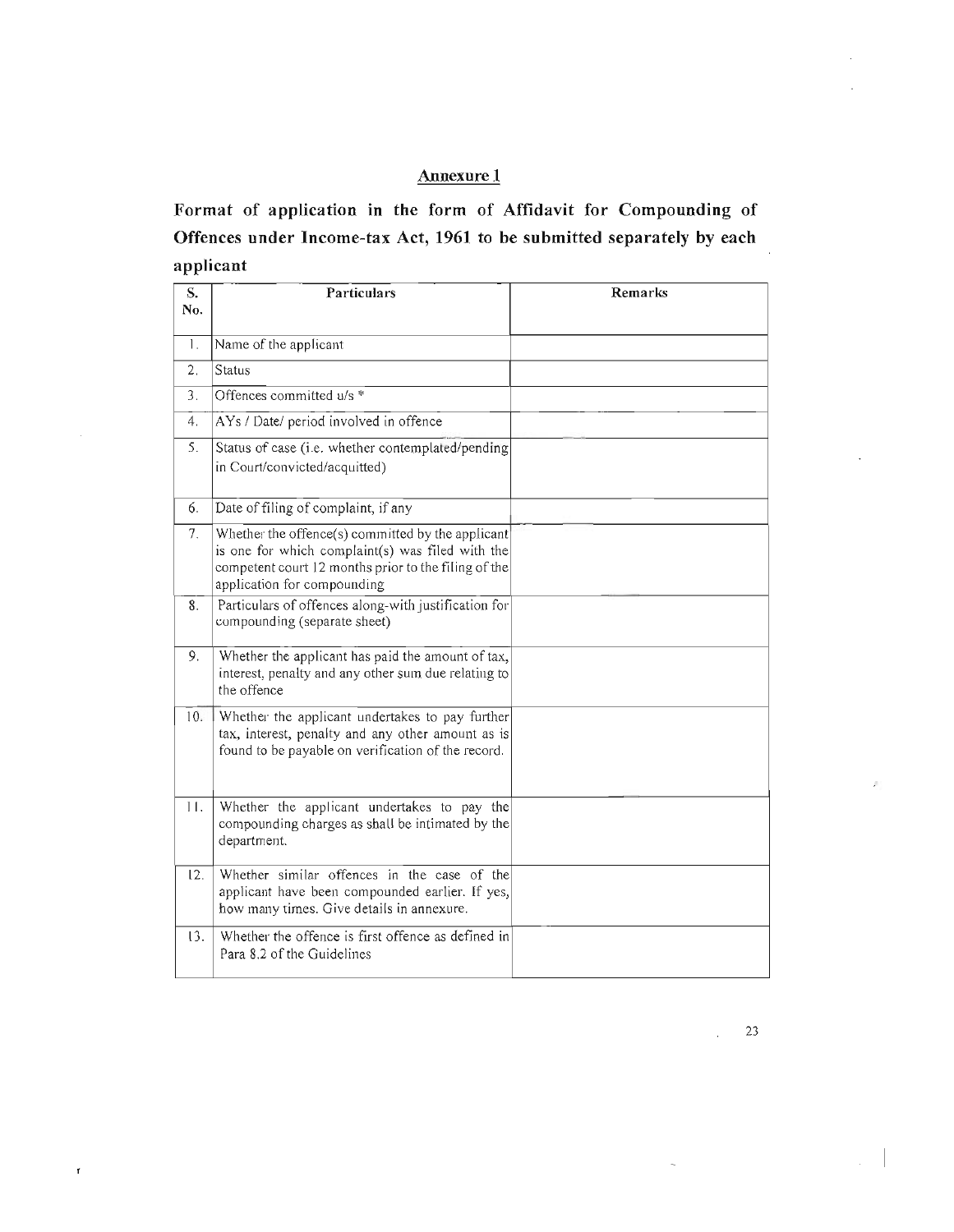# **Annexure 1**

**Format of application in the form of Affidavit for Compounding of Offences under Income-tax Act, 1961 to be submitted separately by each applicant** 

| S.<br>No. | Particulars                                                                                                                                                                                  | Remarks |
|-----------|----------------------------------------------------------------------------------------------------------------------------------------------------------------------------------------------|---------|
| 1.        | Name of the applicant                                                                                                                                                                        |         |
| 2.        | <b>Status</b>                                                                                                                                                                                |         |
| 3.        | Offences committed u/s *                                                                                                                                                                     |         |
| 4.        | AYs / Date/ period involved in offence                                                                                                                                                       |         |
| 5.        | Status of case (i.e. whether contemplated/pending<br>in Court/convicted/acquitted)                                                                                                           |         |
| 6.        | Date of filing of complaint, if any                                                                                                                                                          |         |
| 7.        | Whether the offence(s) committed by the applicant<br>is one for which complaint(s) was filed with the<br>competent court 12 months prior to the filing of the<br>application for compounding |         |
| 8.        | Particulars of offences along-with justification for<br>compounding (separate sheet)                                                                                                         |         |
| 9.        | Whether the applicant has paid the amount of tax,<br>interest, penalty and any other sum due relating to<br>the offence                                                                      |         |
| 10.       | Whether the applicant undertakes to pay further<br>tax, interest, penalty and any other amount as is<br>found to be payable on verification of the record.                                   |         |
| 11.       | Whether the applicant undertakes to pay the<br>compounding charges as shall be intimated by the<br>department.                                                                               |         |
| 12.       | Whether similar offences in the case of the<br>applicant have been compounded earlier. If yes,<br>how many times. Give details in annexure.                                                  |         |
| 13.       | Whether the offence is first offence as defined in<br>Para 8.2 of the Guidelines                                                                                                             |         |

 $\bar{\mathbf{r}}$ 

 $\mathcal{L}$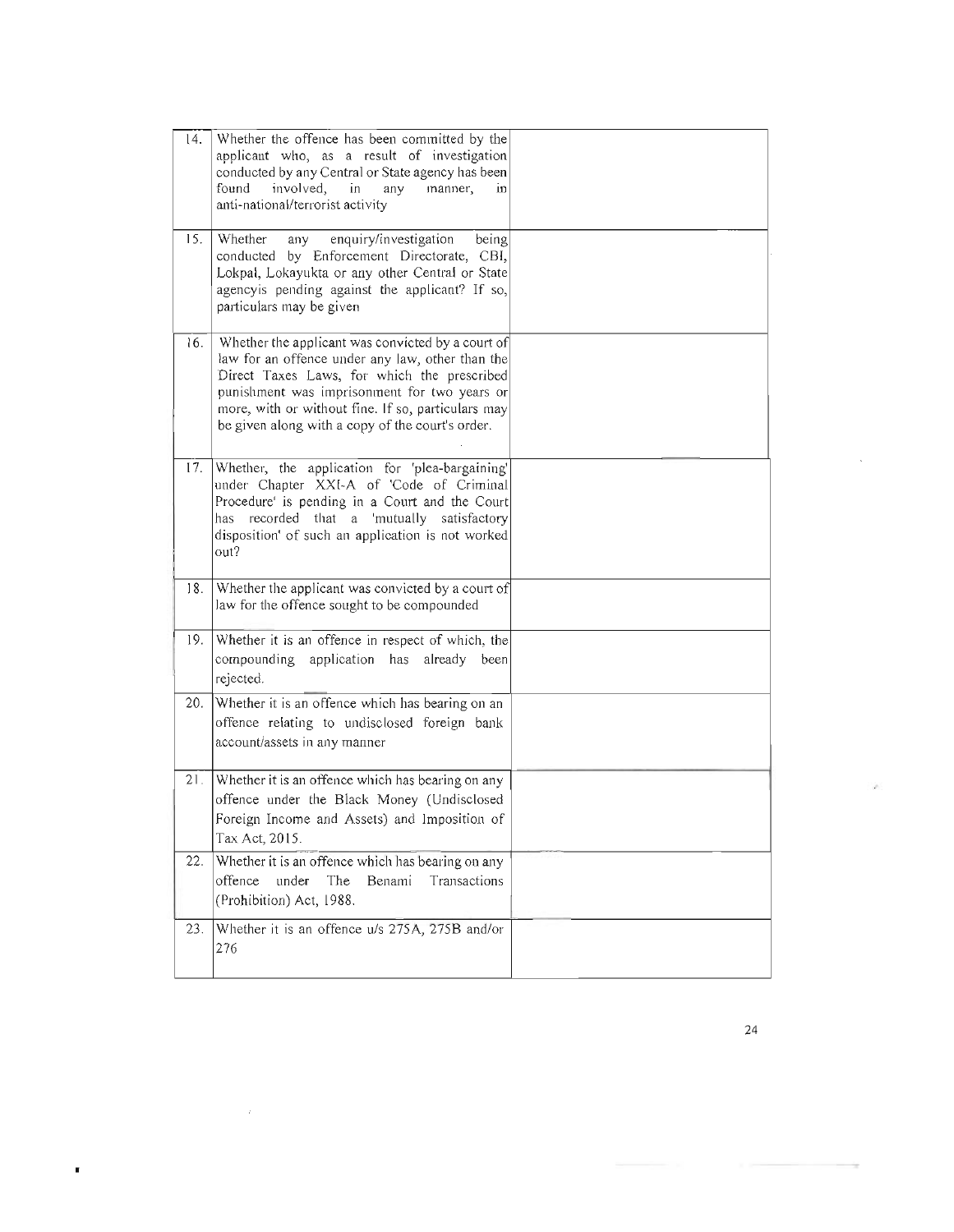| 14. | Whether the offence has been committed by the<br>applicant who, as a result of investigation<br>conducted by any Central or State agency has been<br>found<br>involved,<br>in<br>any<br>manner,<br>in<br>anti-national/terrorist activity                                                                      |  |
|-----|----------------------------------------------------------------------------------------------------------------------------------------------------------------------------------------------------------------------------------------------------------------------------------------------------------------|--|
| 15. | Whether<br>enquiry/investigation<br>being<br>any<br>conducted by Enforcement Directorate, CBI,<br>Lokpal, Lokayukta or any other Central or State<br>agencyis pending against the applicant? If so,<br>particulars may be given                                                                                |  |
| 16. | Whether the applicant was convicted by a court of<br>law for an offence under any law, other than the<br>Direct Taxes Laws, for which the prescribed<br>punishment was imprisonment for two years or<br>more, with or without fine. If so, particulars may<br>be given along with a copy of the court's order. |  |
| 17. | Whether, the application for 'plea-bargaining'<br>under Chapter XXI-A of 'Code of Criminal<br>Procedure' is pending in a Court and the Court<br>recorded that a 'mutually satisfactory<br>has<br>disposition' of such an application is not worked<br>out?                                                     |  |
| 18. | Whether the applicant was convicted by a court of<br>law for the offence sought to be compounded                                                                                                                                                                                                               |  |
| 19. | Whether it is an offence in respect of which, the<br>compounding application has<br>already been<br>rejected.                                                                                                                                                                                                  |  |
| 20. | Whether it is an offence which has bearing on an<br>offence relating to undisclosed foreign bank<br>account/assets in any manner                                                                                                                                                                               |  |
| 21. | Whether it is an offence which has bearing on any<br>offence under the Black Money (Undisclosed<br>Foreign Income and Assets) and Imposition of<br>Tax Act, 2015.                                                                                                                                              |  |
| 22. | Whether it is an offence which has bearing on any<br>The<br>Transactions<br>offence<br>under<br>Benami<br>(Prohibition) Act, 1988.                                                                                                                                                                             |  |
| 23. | Whether it is an offence u/s 275A, 275B and/or<br>276                                                                                                                                                                                                                                                          |  |

×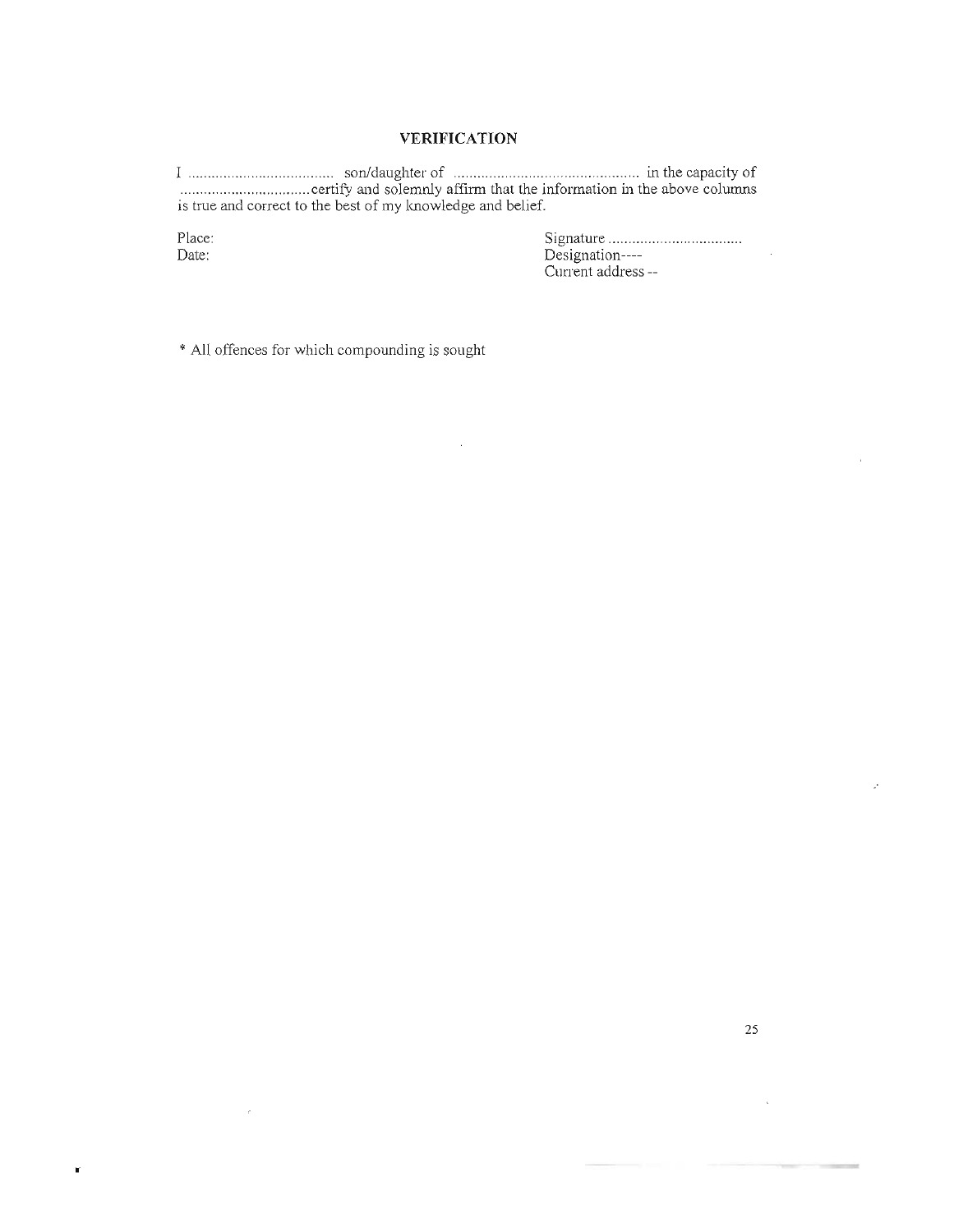### **VERIFICATION**

I ....................... .. .... ....... . son/daughter of .. .... ......................... .... ............ in the capacity of ................. ................ certify and solemnly affirm that the information in the above columns is true and correct to the best of my knowledge and belief.

 $\bar{z}$ 

Place: Date:

•

 $\mathcal{L}$ 

Signature ............. .. .................. . Designation---- Current address --

\* All offences for which compounding is sought

J.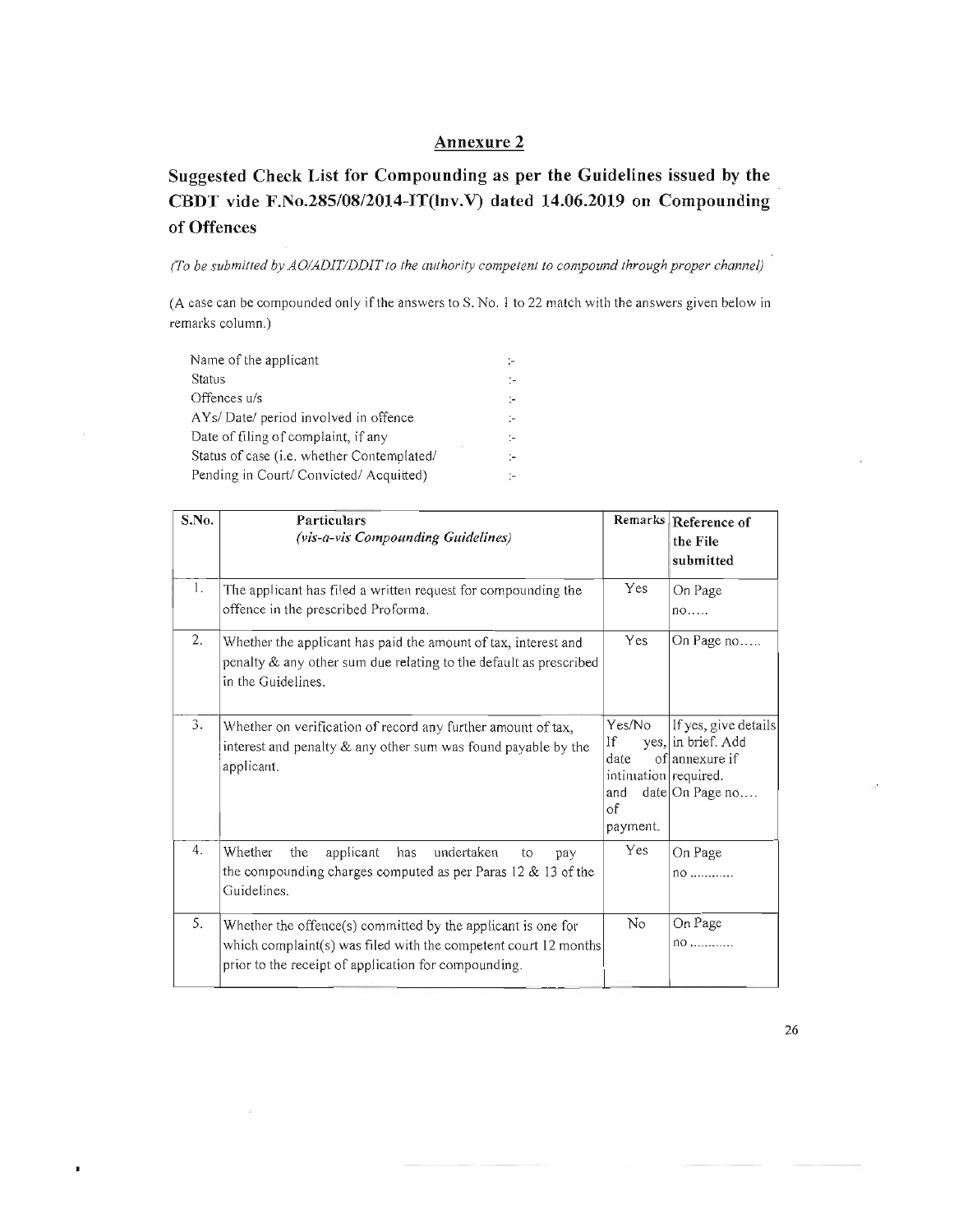## Annexure 2

# Suggested Check List for Compounding as per the Guidelines issued by the CBDT vide *F.No.285/08/2014-IT(lnv.V)* dated 14.06.2019 on Compounding of Offences

*(To be submitted by AOIADITIDDIT to the authority competent to compound through proper channel)* 

(A case can be compounded only if the answers to S. No.1 to 22 match with the answers given below in remarks column.)

| Name of the applicant                              | $\sim$ |
|----------------------------------------------------|--------|
| Status                                             | ÷.     |
| Offences u/s                                       | ÷.     |
| AYs/Date/ period involved in offence               | ÷.     |
| Date of filing of complaint, if any                | $\sim$ |
| Status of case ( <i>i.e.</i> whether Contemplated/ | ÷.     |
| Pending in Court/ Convicted/ Acquitted)            |        |
|                                                    |        |

П

| S.No. | Particulars<br>(vis-a-vis Compounding Guidelines)                                                                                                                                       |                                                                              | Remarks Reference of<br>the File<br>submitted                                   |
|-------|-----------------------------------------------------------------------------------------------------------------------------------------------------------------------------------------|------------------------------------------------------------------------------|---------------------------------------------------------------------------------|
| 1.    | The applicant has filed a written request for compounding the<br>offence in the prescribed Proforma.                                                                                    | Yes                                                                          | On Page<br>no                                                                   |
| 2.    | Whether the applicant has paid the amount of tax, interest and<br>penalty & any other sum due relating to the default as prescribed<br>in the Guidelines.                               | <b>Yes</b>                                                                   | On Page no                                                                      |
| 3.    | Whether on verification of record any further amount of tax,<br>interest and penalty & any other sum was found payable by the<br>applicant.                                             | Yes/No<br>If<br>date<br>intimation required.<br>and<br>$\circ f$<br>payment. | If yes, give details<br>yes, in brief. Add<br>oflannexure if<br>date On Page no |
| 4.    | Whether<br>the<br>applicant<br>undertaken<br>has<br>to<br>pay<br>the compounding charges computed as per Paras $12 \& 13$ of the<br>Guidelines.                                         | Yes                                                                          | On Page<br>$no$                                                                 |
| 5.    | Whether the offence(s) committed by the applicant is one for<br>which complaint(s) was filed with the competent court 12 months<br>prior to the receipt of application for compounding. | N <sub>0</sub>                                                               | On Page<br>$no$                                                                 |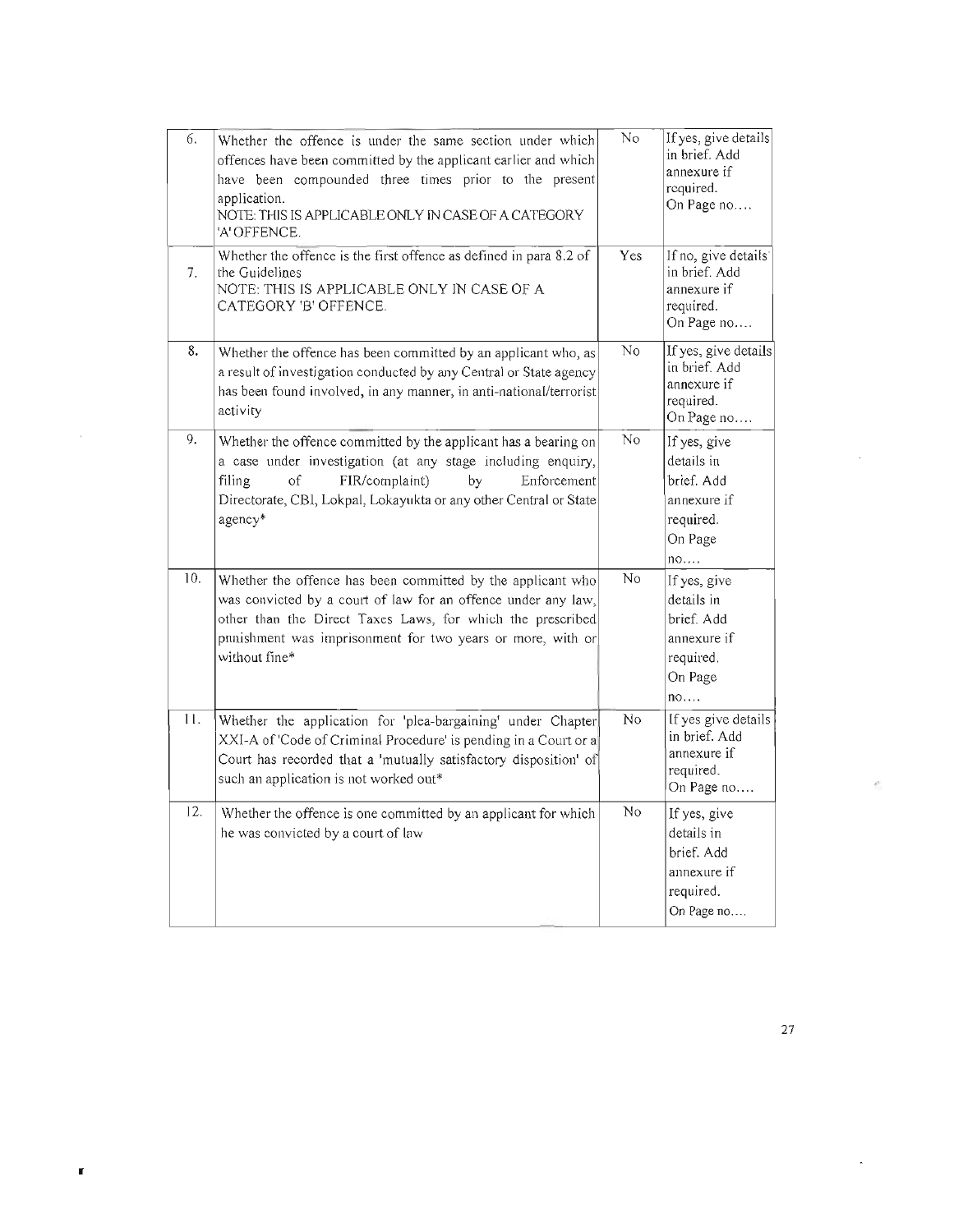| 6.  | Whether the offence is under the same section under which<br>offences have been committed by the applicant earlier and which<br>have been compounded three times prior to the present<br>application.<br>NOTE: THIS IS APPLICABLE ONLY IN CASE OF A CATEGORY<br>'A' OFFENCE. | No  | If yes, give details<br>in brief. Add<br>annexure if<br>required.<br>On Page no       |
|-----|------------------------------------------------------------------------------------------------------------------------------------------------------------------------------------------------------------------------------------------------------------------------------|-----|---------------------------------------------------------------------------------------|
| 7.  | Whether the offence is the first offence as defined in para 8.2 of<br>the Guidelines<br>NOTE: THIS IS APPLICABLE ONLY IN CASE OF A<br>CATEGORY 'B' OFFENCE.                                                                                                                  | Yes | If no, give details<br>in brief. Add<br>annexure if<br>required.<br>On Page no        |
| 8.  | Whether the offence has been committed by an applicant who, as<br>a result of investigation conducted by any Central or State agency<br>has been found involved, in any manner, in anti-national/terrorist<br>activity                                                       | No  | If yes, give details<br>in brief. Add<br>annexure if<br>required.<br>On Page no       |
| 9.  | Whether the offence committed by the applicant has a bearing on<br>a case under investigation (at any stage including enquiry,<br>FIR/complaint)<br>filing<br>of<br>by<br>Enforcement<br>Directorate, CBI, Lokpal, Lokayukta or any other Central or State<br>agency*        | No  | If yes, give<br>details in<br>brief. Add<br>annexure if<br>required.<br>On Page<br>no |
| 10. | Whether the offence has been committed by the applicant who<br>was convicted by a court of law for an offence under any law,<br>other than the Direct Taxes Laws, for which the prescribed<br>punishment was imprisonment for two years or more, with or<br>without fine*    | No  | If yes, give<br>details in<br>brief. Add<br>annexure if<br>required.<br>On Page<br>no |
| 11. | Whether the application for 'plea-bargaining' under Chapter<br>XXI-A of 'Code of Criminal Procedure' is pending in a Court or a<br>Court has recorded that a 'mutually satisfactory disposition' of<br>such an application is not worked out*                                | No  | If yes give details<br>in brief. Add<br>annexure if<br>required.<br>On Page no        |
| 12. | Whether the offence is one committed by an applicant for which<br>he was convicted by a court of law                                                                                                                                                                         | No  | If yes, give<br>details in<br>brief. Add<br>annexure if<br>required.<br>On Page no    |

×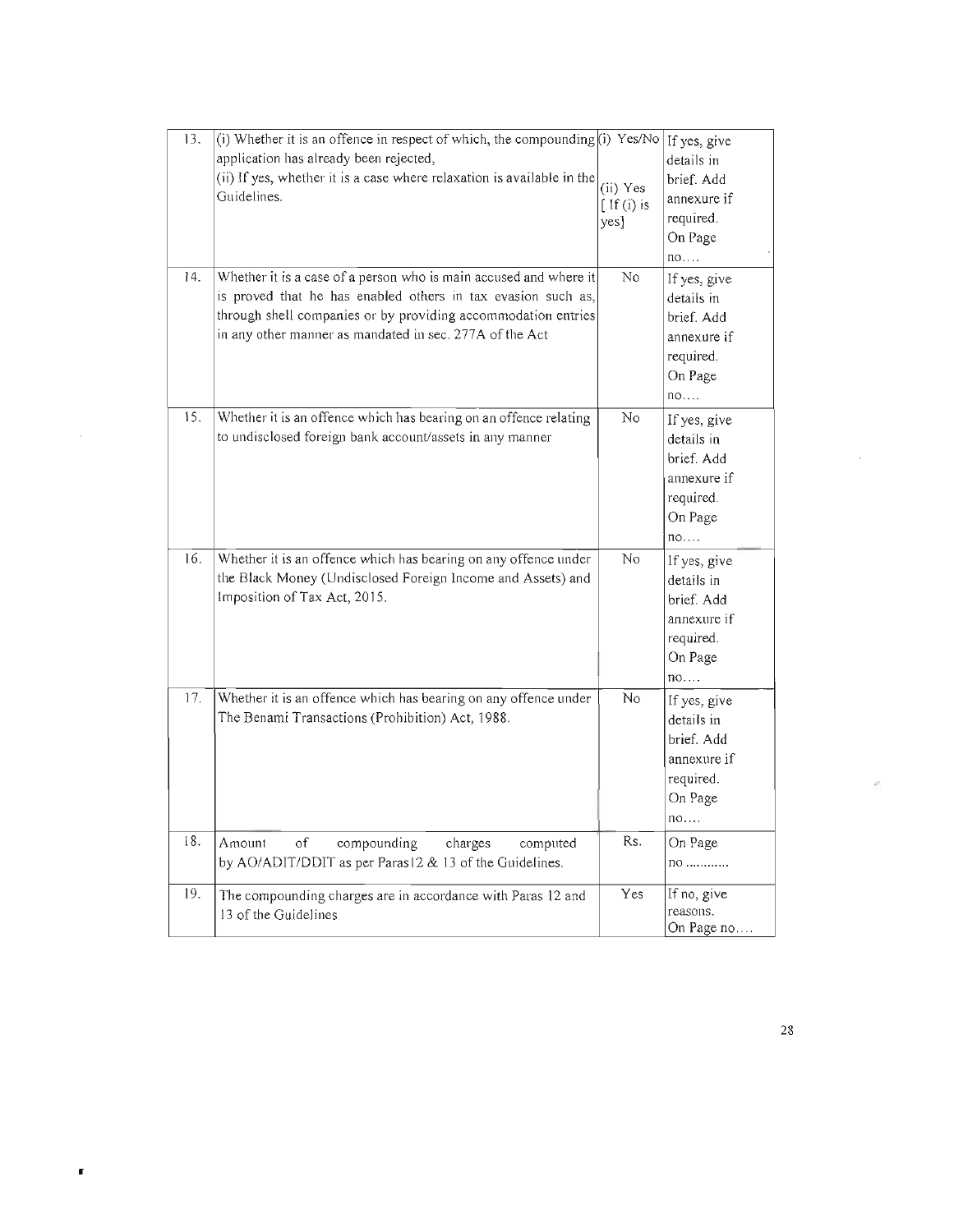| 13. | (i) Whether it is an offence in respect of which, the compounding (i) Yes/No   If yes, give<br>application has already been rejected,<br>(ii) If yes, whether it is a case where relaxation is available in the<br>Guidelines.                                | (ii) Yes<br>$[$ If (i) is<br>yes] | details in<br>brief. Add<br>annexure if<br>required.<br>On Page<br>no                 |
|-----|---------------------------------------------------------------------------------------------------------------------------------------------------------------------------------------------------------------------------------------------------------------|-----------------------------------|---------------------------------------------------------------------------------------|
| 14. | Whether it is a case of a person who is main accused and where it<br>is proved that he has enabled others in tax evasion such as,<br>through shell companies or by providing accommodation entries<br>in any other manner as mandated in sec. 277A of the Act | No                                | If yes, give<br>details in<br>brief. Add<br>annexure if<br>required.<br>On Page<br>no |
| 15. | Whether it is an offence which has bearing on an offence relating<br>to undisclosed foreign bank account/assets in any manner                                                                                                                                 | No                                | If yes, give<br>details in<br>brief. Add<br>annexure if<br>required.<br>On Page<br>no |
| 16. | Whether it is an offence which has bearing on any offence under<br>the Black Money (Undisclosed Foreign Income and Assets) and<br>Imposition of Tax Act, 2015.                                                                                                | No                                | If yes, give<br>details in<br>brief. Add<br>annexure if<br>required.<br>On Page<br>no |
| 17. | Whether it is an offence which has bearing on any offence under<br>The Benami Transactions (Prohibition) Act, 1988.                                                                                                                                           | No                                | If yes, give<br>details in<br>brief. Add<br>annexure if<br>required.<br>On Page<br>no |
| 18. | Amount<br>$\sigma f$<br>compounding<br>computed<br>charges<br>by AO/ADIT/DDIT as per Paras12 & 13 of the Guidelines.                                                                                                                                          | Rs.                               | On Page<br>no                                                                         |
| 19. | The compounding charges are in accordance with Paras 12 and<br>13 of the Guidelines                                                                                                                                                                           | Yes                               | If no, give<br>reasons.<br>On Page no                                                 |

r

i.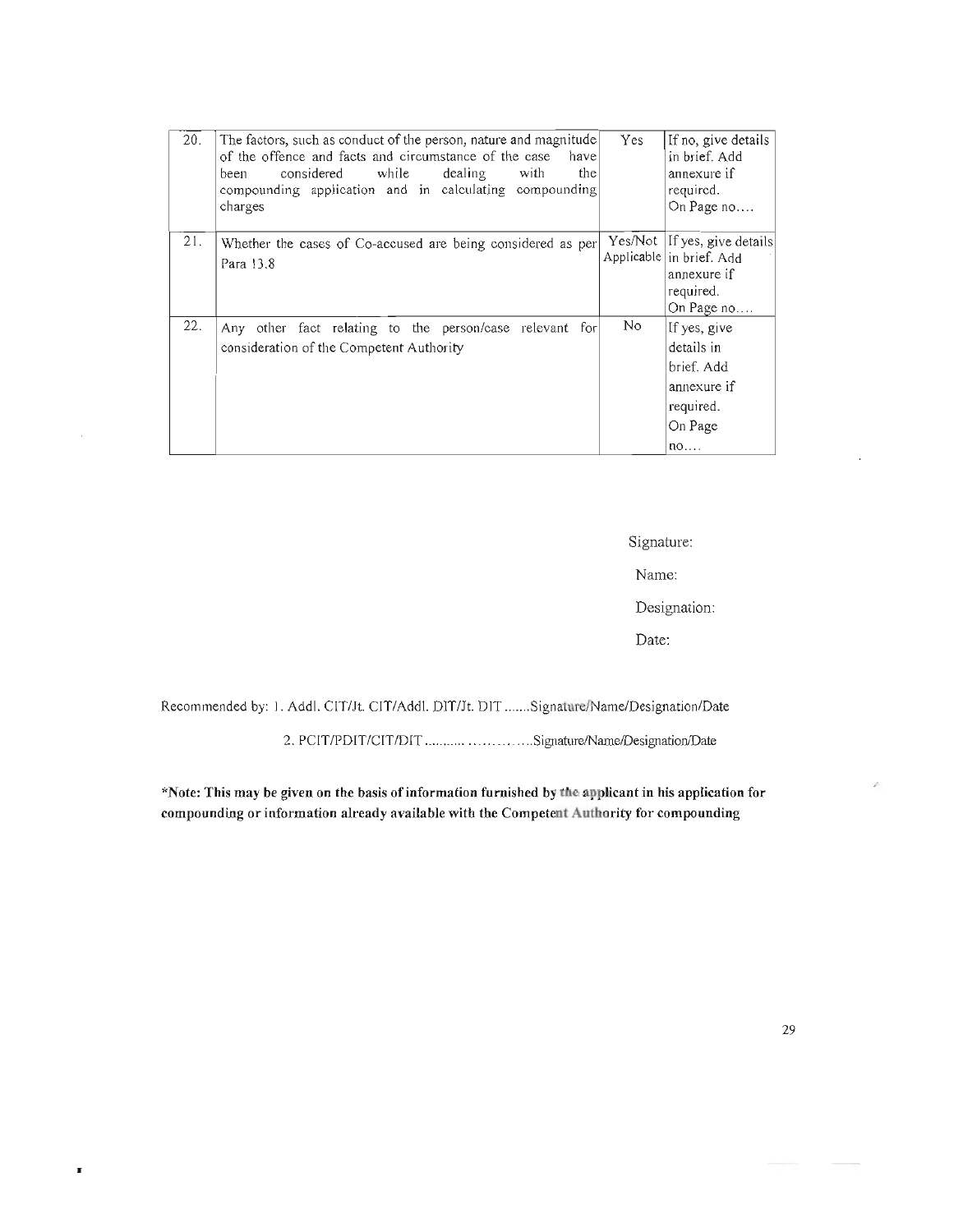| 20. | The factors, such as conduct of the person, nature and magnitude<br>of the offence and facts and circumstance of the case<br>have<br>while<br>the<br>considered<br>dealing<br>with<br>been<br>compounding application and in calculating compounding<br>charges | Yes     | If no, give details<br>in brief. Add<br>annexure if<br>required.<br>On Page no                                                |
|-----|-----------------------------------------------------------------------------------------------------------------------------------------------------------------------------------------------------------------------------------------------------------------|---------|-------------------------------------------------------------------------------------------------------------------------------|
| 21. | Whether the cases of Co-accused are being considered as per<br>Para 13.8                                                                                                                                                                                        | Yes/Not | If yes, give details<br>Applicable in brief. Add<br>annexure if<br>required.<br>On Page no                                    |
| 22. | Any other fact relating to the person/case relevant for<br>consideration of the Competent Authority                                                                                                                                                             | No      | If yes, give<br>details in<br>brief. Add<br>annexure if<br>required.<br>On Page<br>$n$ <sup><math>\circ</math></sup> $\cdots$ |

Signature:

Name:

Designation:

Date:

Recommended by: 1. Addl. CIT/Jt. CIT/Addl. DIT/Jt. DIT .......Signature/Name/Designation/Date

2. PCIT/PDIT/CIT/DIT ........... .............Signature/Name/Designation/Date

"Note: This may be given on the basis of information furnished by the applicant in his application for compounding or information already available with the Competent Anthority for compounding

r

ä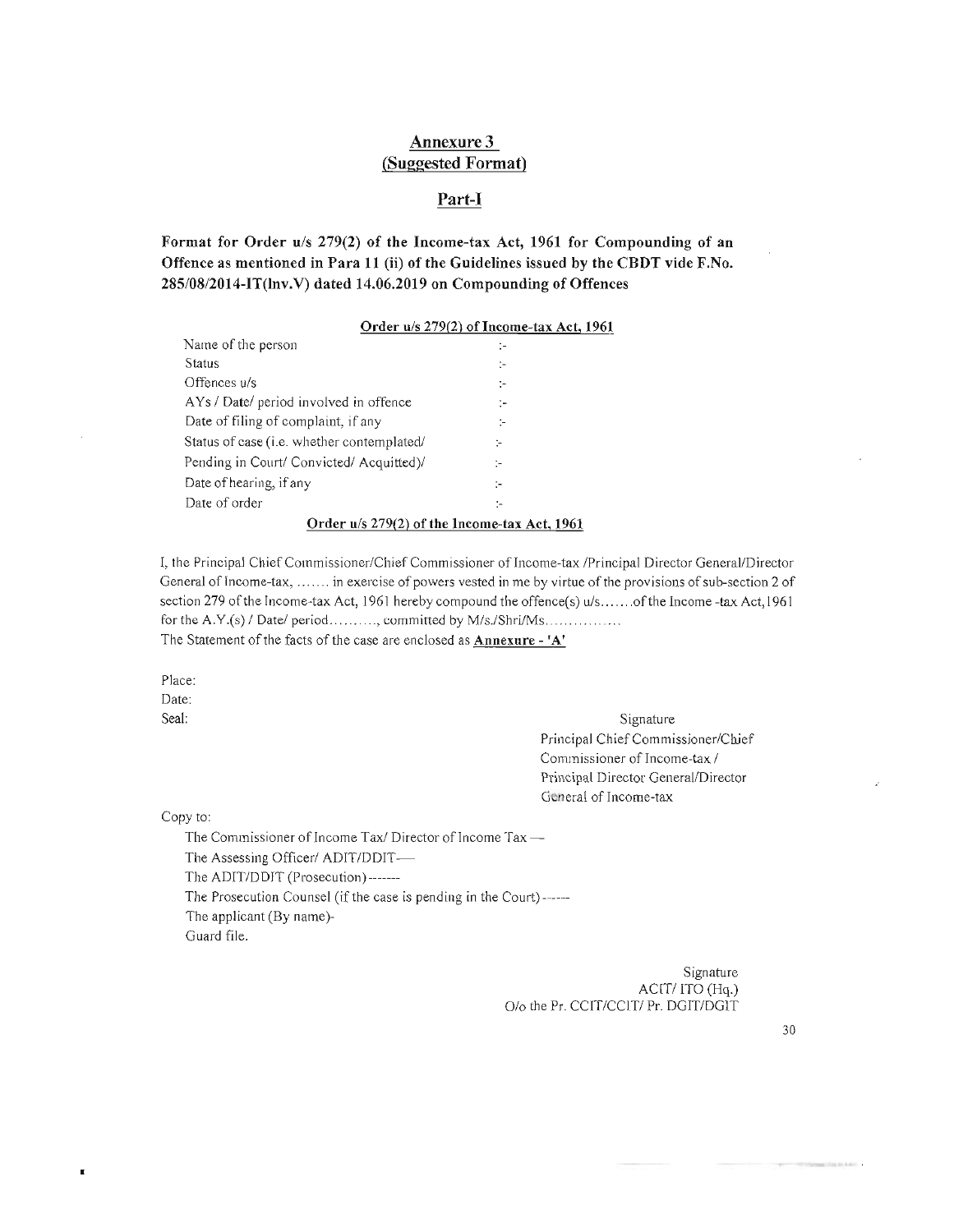## Annexure 3 (Suggested Format)

#### Part-I

Format for Order *u/s* 279(2) of the Income-tax Act, 1961 for Compounding of an Offence as mentioned in Para 11 (ii) of the Guidelines issued by the CBDT vide F.No. 285/08/2014-IT(lnv.V) dated 14.06.2019 on Compounding of Offences

|  | Order u/s 279(2) of Income-tax Act, 1961 |  |
|--|------------------------------------------|--|
|  |                                          |  |

|                                              | $\sim$ , and $\sim$ , $\sim$ , $\sim$ , $\sim$ , $\sim$ , $\sim$ , $\sim$ , $\sim$ , $\sim$ , $\sim$ , $\sim$ , $\sim$ , $\sim$ , $\sim$ , $\sim$ , $\sim$ , $\sim$ , $\sim$ , $\sim$ , $\sim$ , $\sim$ , $\sim$ , $\sim$ , $\sim$ , $\sim$ , $\sim$ , $\sim$ , $\sim$ , $\sim$ , $\sim$ , $\sim$ , $\sim$ , $\sim$ , $\sim$ , $\sim$ , |  |  |
|----------------------------------------------|-----------------------------------------------------------------------------------------------------------------------------------------------------------------------------------------------------------------------------------------------------------------------------------------------------------------------------------------|--|--|
| Name of the person                           | ÷                                                                                                                                                                                                                                                                                                                                       |  |  |
| Status                                       | ÷                                                                                                                                                                                                                                                                                                                                       |  |  |
| Offences u/s                                 | ÷.                                                                                                                                                                                                                                                                                                                                      |  |  |
| AYs / Date/ period involved in offence       | ÷.                                                                                                                                                                                                                                                                                                                                      |  |  |
| Date of filing of complaint, if any          | ÷                                                                                                                                                                                                                                                                                                                                       |  |  |
| Status of case (i.e. whether contemplated/   | ÷                                                                                                                                                                                                                                                                                                                                       |  |  |
| Pending in Court/ Convicted/ Acquitted)/     | ÷                                                                                                                                                                                                                                                                                                                                       |  |  |
| Date of hearing, if any                      | $\mathbf{L}$                                                                                                                                                                                                                                                                                                                            |  |  |
| Date of order                                | ÷                                                                                                                                                                                                                                                                                                                                       |  |  |
| Order u/s 279(2) of the Income-tax Act, 1961 |                                                                                                                                                                                                                                                                                                                                         |  |  |

I, the Principal Chief Commissioner/Chief Commissioner of Income-tax /Principal Director General/Director General of Income-tax, ...... in exercise of powers vested in me by virtue of the provisions of sub-section 2 of section 279 of the Income-tax Act, 1961 hereby compound the offence(s)  $u/s$ ......of the Income-tax Act, 1961 for the A.Y.(s) / Date/ period ........., committed by M/s./Shri/Ms............... The Statement of the facts of the case are enclosed as Annexure - 'A'

Place: Date: Seal:

Signature Principal Chief Commissioner/Chief Commissioner of Income-tax / Principal Director General/Director General of Income-tax

Copy to:

The Commissioner of Income Tax/ Director of Income Tax-The Assessing Officer/ ADIT/DDIT-The ADIT/DDIT (Prosecution)-------The Prosecution Counsel (if the case is pending in the Court) ------ The applicant (By name)- Guard file.

> Signature ACIT/ITO (Hq.) O/o the Pr. CCIT/CCIT/ Pr. DGIT/DGIT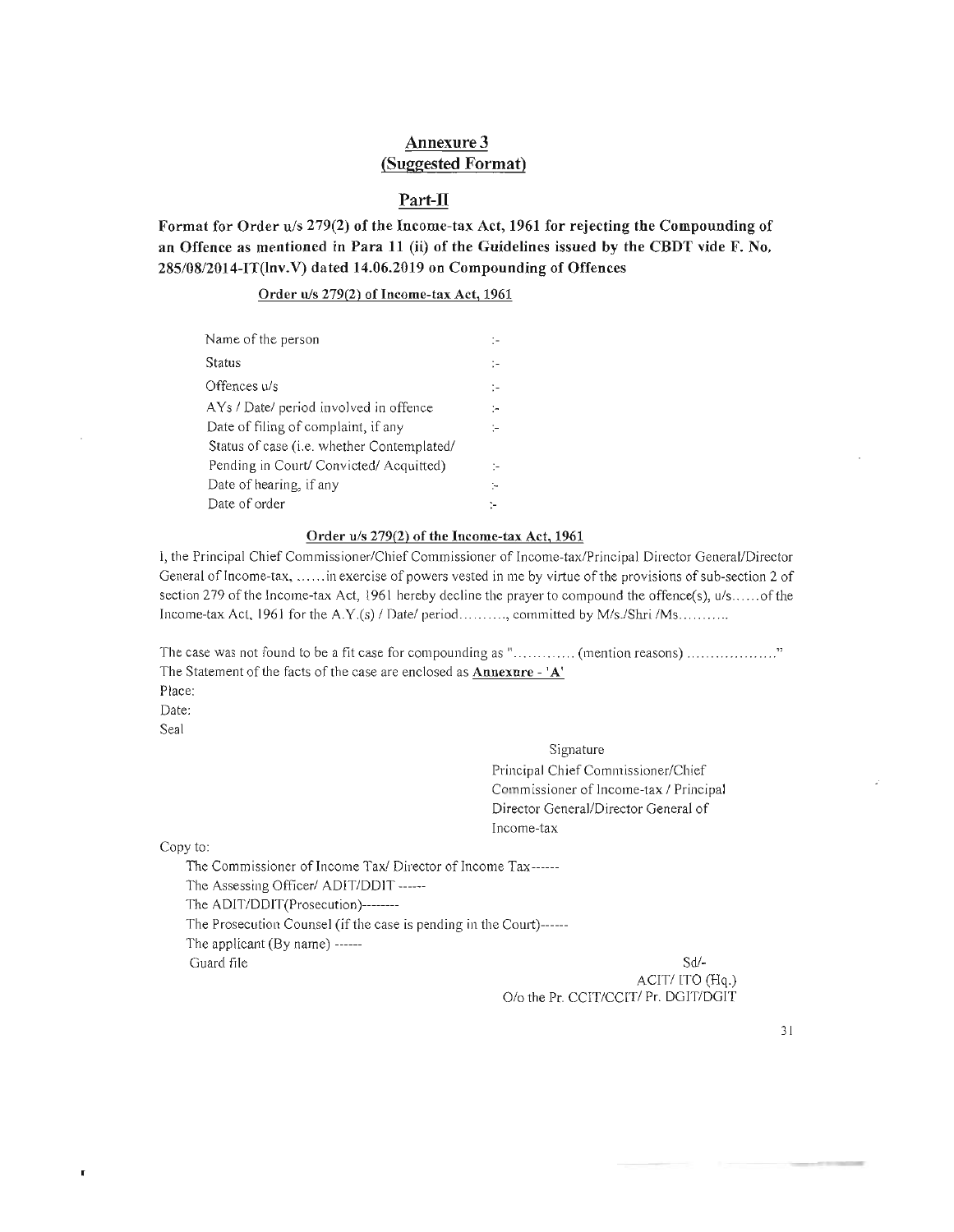## Annexure 3 (Suggested Format)

#### Part-II

Format for Order *uls* 279(2) of the Income-tax Act, 1961 for rejecting the Compounding of an Offence as mentioned in Para 11 (ii) of the Guidelines issued by the CBDT vide F. No. 285/08/2014-IT(lnv.V) dated 14.06.2019 on Compounding of Offences

Order *u/s* 279(2) of Income-tax Act, 1961

| Name of the person                                 | ÷  |
|----------------------------------------------------|----|
| Status                                             | ÷  |
| Offences u/s                                       | ÷  |
| AYs / Date/ period involved in offence             | ÷  |
| Date of filing of complaint, if any                | Þ  |
| Status of case ( <i>i.e.</i> whether Contemplated/ |    |
| Pending in Court/ Convicted/ Acquitted)            | ÷  |
| Date of hearing, if any                            | ŀ. |
| Date of order                                      | ŀ. |

#### Order u/s 279(2) of the Income-tax Act, 1961

I, the Principal Chief Commissioner/Chief Commissioner of Income-tax/Principal Director General/Director General of Income-tax, ...... in exercise of powers vested in me by virtue of the provisions of sub-section 2 of section 279 of the Income-tax Act, 1961 hereby decline the prayer to compound the offence(s), *u/s*......of the Income-tax Act, 1961 for the A.Y.(s) / Date/ period........., committed by M/s./Shri /Ms..........

The case was not found to be a tlt case for compounding as " ............. (mention reasons) ..... ........... . The Statement of the facts of the case are enclosed as **Annexure** - 'A' Place: Date: Seal

> Signature Principal Chief Commissioner/Chief Commissioner of Income-tax / Principal Director General/Director General of Income-tax

Copy to:

 $\blacksquare$ 

The Commissioner of Income Tax/ Director of Income Tax------The Assessing Officer/ ADIT/DDIT ------The ADIT/DDIT(Prosecution)--------The Prosecution Counsel (if the case is pending in the Court)------The applicant (By name) ------  $G$ 

Sd/-<br>ACIT/ ITO (Hq.) 0/0 the Pr. CCIT/CCIT/ Pr. DGIT/DGIT